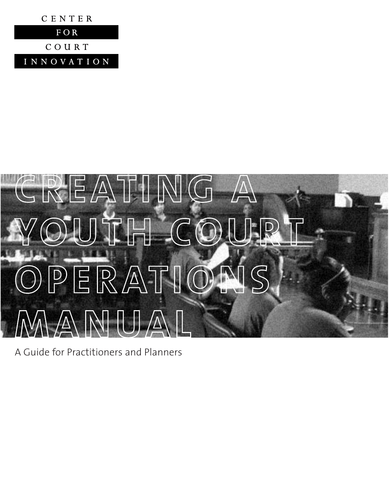



A Guide for Practitioners and Planners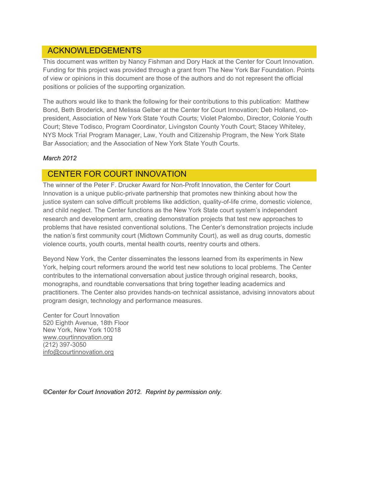# ACKNOWLEDGEMENTS

This document was written by Nancy Fishman and Dory Hack at the Center for Court Innovation. Funding for this project was provided through a grant from The New York Bar Foundation. Points of view or opinions in this document are those of the authors and do not represent the official positions or policies of the supporting organization.

The authors would like to thank the following for their contributions to this publication: Matthew Bond, Beth Broderick, and Melissa Gelber at the Center for Court Innovation; Deb Holland, copresident, Association of New York State Youth Courts; Violet Palombo, Director, Colonie Youth Court; Steve Todisco, Program Coordinator, Livingston County Youth Court; Stacey Whiteley, NYS Mock Trial Program Manager, Law, Youth and Citizenship Program, the New York State Bar Association; and the Association of New York State Youth Courts.

## *March 2012*

# CENTER FOR COURT INNOVATION

The winner of the Peter F. Drucker Award for Non-Profit Innovation, the Center for Court Innovation is a unique public-private partnership that promotes new thinking about how the justice system can solve difficult problems like addiction, quality-of-life crime, domestic violence, and child neglect. The Center functions as the New York State court system's independent research and development arm, creating demonstration projects that test new approaches to problems that have resisted conventional solutions. The Center's demonstration projects include the nation's first community court (Midtown Community Court), as well as drug courts, domestic violence courts, youth courts, mental health courts, reentry courts and others.

Beyond New York, the Center disseminates the lessons learned from its experiments in New York, helping court reformers around the world test new solutions to local problems. The Center contributes to the international conversation about justice through original research, books, monographs, and roundtable conversations that bring together leading academics and practitioners. The Center also provides hands-on technical assistance, advising innovators about program design, technology and performance measures.

Center for Court Innovation 520 Eighth Avenue, 18th Floor New York, New York 10018 www.courtinnovation.org (212) 397-3050 info@courtinnovation.org

*©Center for Court Innovation 2012. Reprint by permission only.*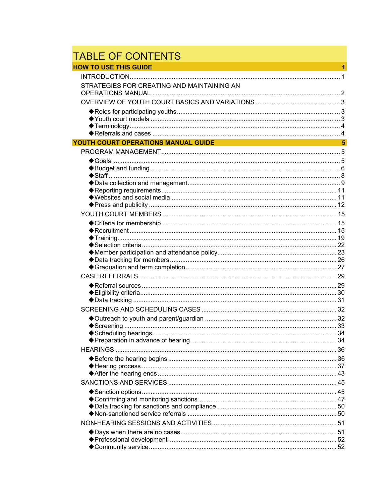# TABLE OF CONTENTS<br>HOW TO USE THIS GUIDE

| <b>HOW TO USE THIS GUIDE</b>               | 1              |
|--------------------------------------------|----------------|
|                                            |                |
| STRATEGIES FOR CREATING AND MAINTAINING AN |                |
|                                            |                |
|                                            |                |
|                                            |                |
|                                            |                |
| YOUTH COURT OPERATIONS MANUAL GUIDE        | $5\phantom{1}$ |
|                                            |                |
|                                            |                |
|                                            |                |
|                                            |                |
|                                            |                |
|                                            |                |
|                                            |                |
|                                            |                |
|                                            |                |
|                                            |                |
|                                            |                |
|                                            |                |
|                                            |                |
|                                            |                |
|                                            |                |
|                                            |                |
|                                            |                |
|                                            |                |
|                                            |                |
|                                            |                |
|                                            |                |
|                                            |                |
|                                            |                |
|                                            |                |
|                                            |                |
|                                            |                |
|                                            |                |
|                                            |                |
|                                            |                |
|                                            |                |
|                                            |                |
|                                            |                |
|                                            |                |
|                                            |                |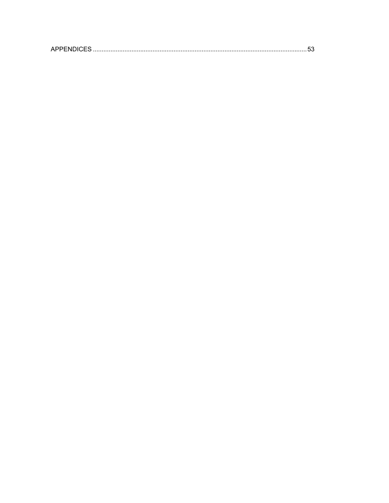| <b>APPENDICES</b> |  |  |
|-------------------|--|--|
|                   |  |  |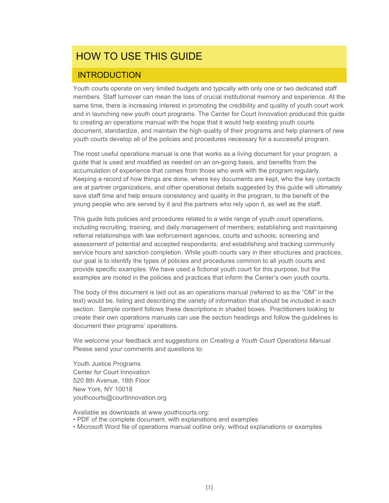# HOW TO USE THIS GUIDE

# **INTRODUCTION**

Youth courts operate on very limited budgets and typically with only one or two dedicated staff members. Staff turnover can mean the loss of crucial institutional memory and experience. At the same time, there is increasing interest in promoting the credibility and quality of youth court work and in launching new youth court programs. The Center for Court Innovation produced this guide to creating an operations manual with the hope that it would help existing youth courts document, standardize, and maintain the high quality of their programs and help planners of new youth courts develop all of the policies and procedures necessary for a successful program.

The most useful operations manual is one that works as a living document for your program, a guide that is used and modified as needed on an on-going basis, and benefits from the accumulation of experience that comes from those who work with the program regularly. Keeping a record of how things are done, where key documents are kept, who the key contacts are at partner organizations, and other operational details suggested by this guide will ultimately save staff time and help ensure consistency and quality in the program, to the benefit of the young people who are served by it and the partners who rely upon it, as well as the staff.

This guide lists policies and procedures related to a wide range of youth court operations, including recruiting, training, and daily management of members; establishing and maintaining referral relationships with law enforcement agencies, courts and schools; screening and assessment of potential and accepted respondents; and establishing and tracking community service hours and sanction completion. While youth courts vary in their structures and practices, our goal is to identify the types of policies and procedures common to all youth courts and provide specific examples. We have used a fictional youth court for this purpose, but the examples are rooted in the policies and practices that inform the Center's own youth courts.

The body of this document is laid out as an operations manual (referred to as the "OM" in the text) would be, listing and describing the variety of information that should be included in each section. Sample content follows these descriptions in shaded boxes. Practitioners looking to create their own operations manuals can use the section headings and follow the guidelines to document their programs' operations.

We welcome your feedback and suggestions on *Creating a Youth Court Operations Manual*. Please send your comments and questions to:

Youth Justice Programs Center for Court Innovation 520 8th Avenue, 18th Floor New York, NY 10018 youthcourts@courtinnovation.org

Available as downloads at www.youthcourts.org:

- PDF of the complete document, with explanations and examples
- Microsoft Word file of operations manual outline only, without explanations or examples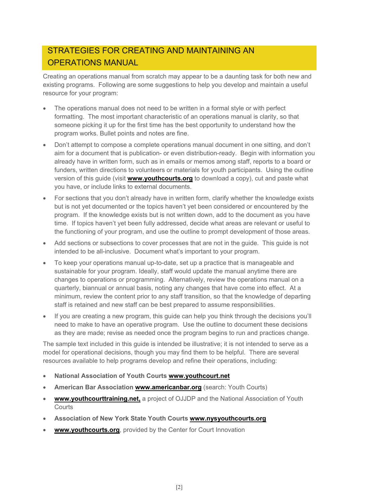# STRATEGIES FOR CREATING AND MAINTAINING AN OPERATIONS MANUAL

Creating an operations manual from scratch may appear to be a daunting task for both new and existing programs. Following are some suggestions to help you develop and maintain a useful resource for your program:

- The operations manual does not need to be written in a formal style or with perfect formatting. The most important characteristic of an operations manual is clarity, so that someone picking it up for the first time has the best opportunity to understand how the program works. Bullet points and notes are fine.
- Don't attempt to compose a complete operations manual document in one sitting, and don't aim for a document that is publication- or even distribution-ready. Begin with information you already have in written form, such as in emails or memos among staff, reports to a board or funders, written directions to volunteers or materials for youth participants. Using the outline version of this guide (visit **www.youthcourts.org** to download a copy), cut and paste what you have, or include links to external documents.
- For sections that you don't already have in written form, clarify whether the knowledge exists but is not yet documented or the topics haven't yet been considered or encountered by the program. If the knowledge exists but is not written down, add to the document as you have time. If topics haven't yet been fully addressed, decide what areas are relevant or useful to the functioning of your program, and use the outline to prompt development of those areas.
- Add sections or subsections to cover processes that are not in the guide. This guide is not intended to be all-inclusive. Document what's important to your program.
- To keep your operations manual up-to-date, set up a practice that is manageable and sustainable for your program. Ideally, staff would update the manual anytime there are changes to operations or programming. Alternatively, review the operations manual on a quarterly, biannual or annual basis, noting any changes that have come into effect. At a minimum, review the content prior to any staff transition, so that the knowledge of departing staff is retained and new staff can be best prepared to assume responsibilities.
- If you are creating a new program, this guide can help you think through the decisions you'll need to make to have an operative program. Use the outline to document these decisions as they are made; revise as needed once the program begins to run and practices change.

The sample text included in this guide is intended be illustrative; it is not intended to serve as a model for operational decisions, though you may find them to be helpful. There are several resources available to help programs develop and refine their operations, including:

- **National Association of Youth Courts www.youthcourt.net**
- **American Bar Association www.americanbar.org** (search: Youth Courts)
- **www.youthcourttraining.net,** a project of OJJDP and the National Association of Youth **Courts**
- **Association of New York State Youth Courts www.nysyouthcourts.org**
- **www.youthcourts.org**, provided by the Center for Court Innovation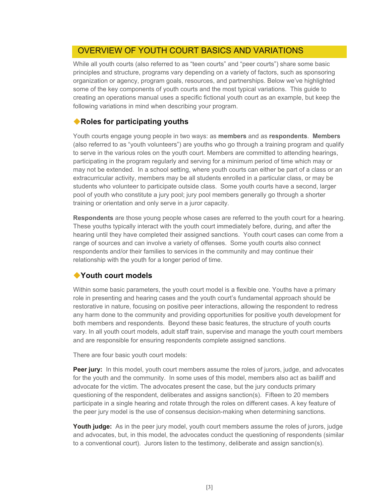# OVERVIEW OF YOUTH COURT BASICS AND VARIATIONS

While all youth courts (also referred to as "teen courts" and "peer courts") share some basic principles and structure, programs vary depending on a variety of factors, such as sponsoring organization or agency, program goals, resources, and partnerships. Below we've highlighted some of the key components of youth courts and the most typical variations. This guide to creating an operations manual uses a specific fictional youth court as an example, but keep the following variations in mind when describing your program.

# **Roles for participating youths**

Youth courts engage young people in two ways: as **members** and as **respondents**. **Members** (also referred to as "youth volunteers") are youths who go through a training program and qualify to serve in the various roles on the youth court. Members are committed to attending hearings, participating in the program regularly and serving for a minimum period of time which may or may not be extended. In a school setting, where youth courts can either be part of a class or an extracurricular activity, members may be all students enrolled in a particular class, or may be students who volunteer to participate outside class. Some youth courts have a second, larger pool of youth who constitute a jury pool; jury pool members generally go through a shorter training or orientation and only serve in a juror capacity.

**Respondents** are those young people whose cases are referred to the youth court for a hearing. These youths typically interact with the youth court immediately before, during, and after the hearing until they have completed their assigned sanctions. Youth court cases can come from a range of sources and can involve a variety of offenses. Some youth courts also connect respondents and/or their families to services in the community and may continue their relationship with the youth for a longer period of time.

# **Youth court models**

Within some basic parameters, the youth court model is a flexible one. Youths have a primary role in presenting and hearing cases and the youth court's fundamental approach should be restorative in nature, focusing on positive peer interactions, allowing the respondent to redress any harm done to the community and providing opportunities for positive youth development for both members and respondents. Beyond these basic features, the structure of youth courts vary. In all youth court models, adult staff train, supervise and manage the youth court members and are responsible for ensuring respondents complete assigned sanctions.

There are four basic youth court models:

Peer jury: In this model, youth court members assume the roles of jurors, judge, and advocates for the youth and the community. In some uses of this model, members also act as bailiff and advocate for the victim. The advocates present the case, but the jury conducts primary questioning of the respondent, deliberates and assigns sanction(s). Fifteen to 20 members participate in a single hearing and rotate through the roles on different cases. A key feature of the peer jury model is the use of consensus decision-making when determining sanctions.

Youth judge: As in the peer jury model, youth court members assume the roles of jurors, judge and advocates, but, in this model, the advocates conduct the questioning of respondents (similar to a conventional court). Jurors listen to the testimony, deliberate and assign sanction(s).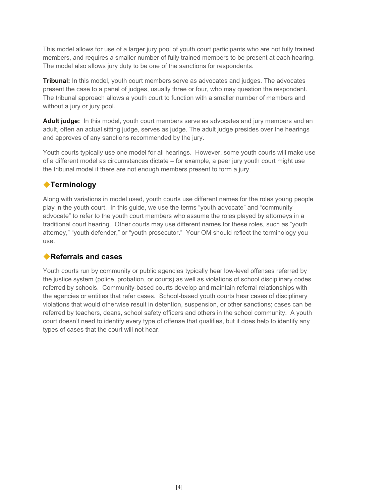This model allows for use of a larger jury pool of youth court participants who are not fully trained members, and requires a smaller number of fully trained members to be present at each hearing. The model also allows jury duty to be one of the sanctions for respondents.

**Tribunal:** In this model, youth court members serve as advocates and judges. The advocates present the case to a panel of judges, usually three or four, who may question the respondent. The tribunal approach allows a youth court to function with a smaller number of members and without a jury or jury pool.

Adult judge: In this model, youth court members serve as advocates and jury members and an adult, often an actual sitting judge, serves as judge. The adult judge presides over the hearings and approves of any sanctions recommended by the jury.

Youth courts typically use one model for all hearings. However, some youth courts will make use of a different model as circumstances dictate – for example, a peer jury youth court might use the tribunal model if there are not enough members present to form a jury.

# **Terminology**

Along with variations in model used, youth courts use different names for the roles young people play in the youth court. In this guide, we use the terms "youth advocate" and "community advocate" to refer to the youth court members who assume the roles played by attorneys in a traditional court hearing. Other courts may use different names for these roles, such as "youth attorney," "youth defender," or "youth prosecutor." Your OM should reflect the terminology you use.

# **Referrals and cases**

Youth courts run by community or public agencies typically hear low-level offenses referred by the justice system (police, probation, or courts) as well as violations of school disciplinary codes referred by schools. Community-based courts develop and maintain referral relationships with the agencies or entities that refer cases. School-based youth courts hear cases of disciplinary violations that would otherwise result in detention, suspension, or other sanctions; cases can be referred by teachers, deans, school safety officers and others in the school community. A youth court doesn't need to identify every type of offense that qualifies, but it does help to identify any types of cases that the court will not hear.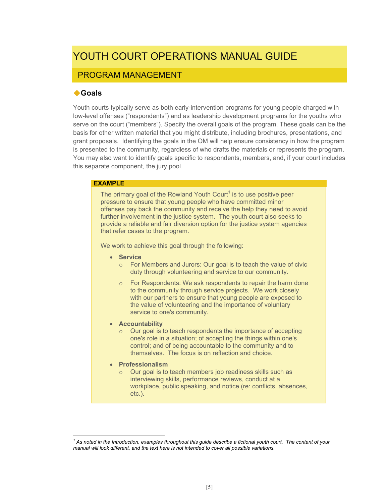# YOUTH COURT OPERATIONS MANUAL GUIDE

# PROGRAM MANAGEMENT

# **Goals**

Youth courts typically serve as both early-intervention programs for young people charged with low-level offenses ("respondents") and as leadership development programs for the youths who serve on the court ("members"). Specify the overall goals of the program. These goals can be the basis for other written material that you might distribute, including brochures, presentations, and grant proposals. Identifying the goals in the OM will help ensure consistency in how the program is presented to the community, regardless of who drafts the materials or represents the program. You may also want to identify goals specific to respondents, members, and, if your court includes this separate component, the jury pool.

## **EXAMPLE**

The primary goal of the Rowland Youth Court $^1$  is to use positive peer pressure to ensure that young people who have committed minor offenses pay back the community and receive the help they need to avoid further involvement in the justice system. The youth court also seeks to provide a reliable and fair diversion option for the justice system agencies that refer cases to the program.

We work to achieve this goal through the following:

- **Service** 
	- o For Members and Jurors: Our goal is to teach the value of civic duty through volunteering and service to our community.
	- $\circ$  For Respondents: We ask respondents to repair the harm done to the community through service projects. We work closely with our partners to ensure that young people are exposed to the value of volunteering and the importance of voluntary service to one's community.
- **Accountability** 
	- o Our goal is to teach respondents the importance of accepting one's role in a situation; of accepting the things within one's control; and of being accountable to the community and to themselves. The focus is on reflection and choice.
- **Professionalism**

 $\overline{a}$ 

Our goal is to teach members job readiness skills such as interviewing skills, performance reviews, conduct at a workplace, public speaking, and notice (re: conflicts, absences, etc.).

<sup>&</sup>lt;sup>1</sup> As noted in the Introduction, examples throughout this guide describe a fictional youth court. The content of your *manual will look different, and the text here is not intended to cover all possible variations.*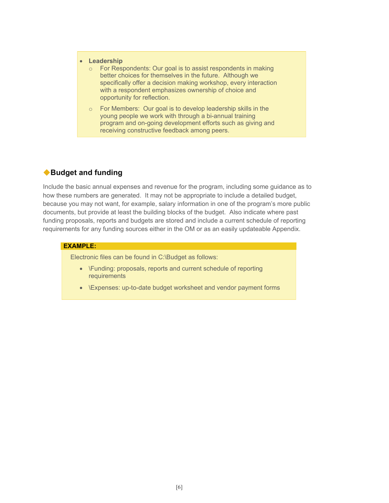#### **Leadership**

- o For Respondents: Our goal is to assist respondents in making better choices for themselves in the future. Although we specifically offer a decision making workshop, every interaction with a respondent emphasizes ownership of choice and opportunity for reflection.
- o For Members: Our goal is to develop leadership skills in the young people we work with through a bi-annual training program and on-going development efforts such as giving and receiving constructive feedback among peers.

# **Budget and funding**

Include the basic annual expenses and revenue for the program, including some guidance as to how these numbers are generated. It may not be appropriate to include a detailed budget, because you may not want, for example, salary information in one of the program's more public documents, but provide at least the building blocks of the budget. Also indicate where past funding proposals, reports and budgets are stored and include a current schedule of reporting requirements for any funding sources either in the OM or as an easily updateable Appendix.

#### **EXAMPLE:**

Electronic files can be found in C:\Budget as follows:

- \Funding: proposals, reports and current schedule of reporting requirements
- \Expenses: up-to-date budget worksheet and vendor payment forms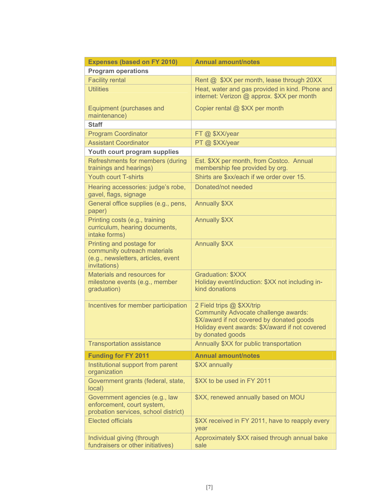| <b>Expenses (based on FY 2010)</b>                                                                              | <b>Annual amount/notes</b>                                                                                                                                                                  |
|-----------------------------------------------------------------------------------------------------------------|---------------------------------------------------------------------------------------------------------------------------------------------------------------------------------------------|
| <b>Program operations</b>                                                                                       |                                                                                                                                                                                             |
| <b>Facility rental</b>                                                                                          | Rent @ \$XX per month, lease through 20XX                                                                                                                                                   |
| <b>Utilities</b>                                                                                                | Heat, water and gas provided in kind. Phone and<br>internet: Verizon @ approx. \$XX per month                                                                                               |
| Equipment (purchases and<br>maintenance)                                                                        | Copier rental @ \$XX per month                                                                                                                                                              |
| <b>Staff</b>                                                                                                    |                                                                                                                                                                                             |
| <b>Program Coordinator</b>                                                                                      | FT @ \$XX/year                                                                                                                                                                              |
| <b>Assistant Coordinator</b>                                                                                    | PT @ \$XX/year                                                                                                                                                                              |
| Youth court program supplies                                                                                    |                                                                                                                                                                                             |
| Refreshments for members (during<br>trainings and hearings)                                                     | Est. \$XX per month, from Costco. Annual<br>membership fee provided by org.                                                                                                                 |
| <b>Youth court T-shirts</b>                                                                                     | Shirts are \$xx/each if we order over 15.                                                                                                                                                   |
| Hearing accessories: judge's robe,<br>gavel, flags, signage                                                     | Donated/not needed                                                                                                                                                                          |
| General office supplies (e.g., pens,<br>paper)                                                                  | <b>Annually \$XX</b>                                                                                                                                                                        |
| Printing costs (e.g., training<br>curriculum, hearing documents,<br>intake forms)                               | <b>Annually \$XX</b>                                                                                                                                                                        |
| Printing and postage for<br>community outreach materials<br>(e.g., newsletters, articles, event<br>invitations) | <b>Annually \$XX</b>                                                                                                                                                                        |
| Materials and resources for<br>milestone events (e.g., member<br>graduation)                                    | <b>Graduation: \$XXX</b><br>Holiday event/induction: \$XX not including in-<br>kind donations                                                                                               |
| Incentives for member participation                                                                             | 2 Field trips @ \$XX/trip<br><b>Community Advocate challenge awards:</b><br>\$X/award if not covered by donated goods<br>Holiday event awards: \$X/award if not covered<br>by donated goods |
| <b>Transportation assistance</b>                                                                                | Annually \$XX for public transportation                                                                                                                                                     |
| <b>Funding for FY 2011</b>                                                                                      | <b>Annual amount/notes</b>                                                                                                                                                                  |
| Institutional support from parent<br>organization                                                               | \$XX annually                                                                                                                                                                               |
| Government grants (federal, state,<br>local)                                                                    | \$XX to be used in FY 2011                                                                                                                                                                  |
| Government agencies (e.g., law<br>enforcement, court system,<br>probation services, school district)            | \$XX, renewed annually based on MOU                                                                                                                                                         |
| <b>Elected officials</b>                                                                                        | \$XX received in FY 2011, have to reapply every<br>year                                                                                                                                     |
| Individual giving (through<br>fundraisers or other initiatives)                                                 | Approximately \$XX raised through annual bake<br>sale                                                                                                                                       |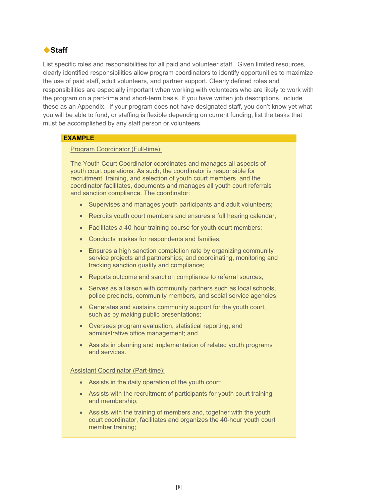# ◆ Staff

List specific roles and responsibilities for all paid and volunteer staff. Given limited resources, clearly identified responsibilities allow program coordinators to identify opportunities to maximize the use of paid staff, adult volunteers, and partner support. Clearly defined roles and responsibilities are especially important when working with volunteers who are likely to work with the program on a part-time and short-term basis. If you have written job descriptions, include these as an Appendix. If your program does not have designated staff, you don't know yet what you will be able to fund, or staffing is flexible depending on current funding, list the tasks that must be accomplished by any staff person or volunteers.

## **EXAMPLE**

Program Coordinator (Full-time):

The Youth Court Coordinator coordinates and manages all aspects of youth court operations. As such, the coordinator is responsible for recruitment, training, and selection of youth court members, and the coordinator facilitates, documents and manages all youth court referrals and sanction compliance. The coordinator:

- Supervises and manages youth participants and adult volunteers;
- Recruits youth court members and ensures a full hearing calendar;
- Facilitates a 40-hour training course for youth court members;
- Conducts intakes for respondents and families;
- Ensures a high sanction completion rate by organizing community service projects and partnerships; and coordinating, monitoring and tracking sanction quality and compliance;
- Reports outcome and sanction compliance to referral sources;
- Serves as a liaison with community partners such as local schools, police precincts, community members, and social service agencies;
- Generates and sustains community support for the youth court, such as by making public presentations;
- Oversees program evaluation, statistical reporting, and administrative office management; and
- Assists in planning and implementation of related youth programs and services.

#### Assistant Coordinator (Part-time):

- Assists in the daily operation of the youth court;
- Assists with the recruitment of participants for youth court training and membership;
- Assists with the training of members and, together with the youth court coordinator, facilitates and organizes the 40-hour youth court member training;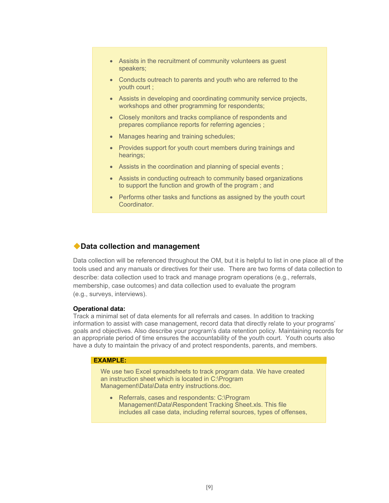- Assists in the recruitment of community volunteers as guest speakers;
- Conducts outreach to parents and youth who are referred to the youth court ;
- Assists in developing and coordinating community service projects, workshops and other programming for respondents;
- Closely monitors and tracks compliance of respondents and prepares compliance reports for referring agencies ;
- Manages hearing and training schedules;
- Provides support for youth court members during trainings and hearings;
- Assists in the coordination and planning of special events ;
- Assists in conducting outreach to community based organizations to support the function and growth of the program ; and
- Performs other tasks and functions as assigned by the youth court Coordinator.

## **Data collection and management**

Data collection will be referenced throughout the OM, but it is helpful to list in one place all of the tools used and any manuals or directives for their use. There are two forms of data collection to describe: data collection used to track and manage program operations (e.g., referrals, membership, case outcomes) and data collection used to evaluate the program (e.g., surveys, interviews).

#### **Operational data:**

Track a minimal set of data elements for all referrals and cases. In addition to tracking information to assist with case management, record data that directly relate to your programs' goals and objectives. Also describe your program's data retention policy. Maintaining records for an appropriate period of time ensures the accountability of the youth court. Youth courts also have a duty to maintain the privacy of and protect respondents, parents, and members.

#### **EXAMPLE:**

We use two Excel spreadsheets to track program data. We have created an instruction sheet which is located in C:\Program Management\Data\Data entry instructions.doc.

• Referrals, cases and respondents: C:\Program Management\Data\Respondent Tracking Sheet.xls. This file includes all case data, including referral sources, types of offenses,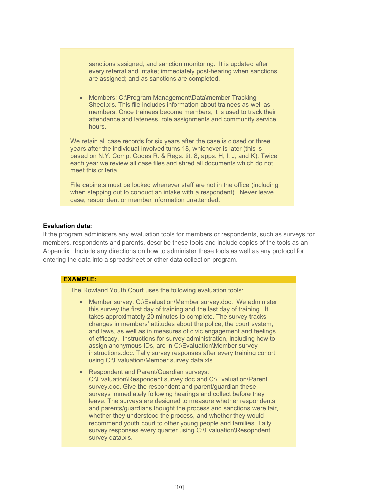sanctions assigned, and sanction monitoring. It is updated after every referral and intake; immediately post-hearing when sanctions are assigned; and as sanctions are completed.

 Members: C:\Program Management\Data\member Tracking Sheet.xls. This file includes information about trainees as well as members. Once trainees become members, it is used to track their attendance and lateness, role assignments and community service hours.

We retain all case records for six years after the case is closed or three years after the individual involved turns 18, whichever is later (this is based on N.Y. Comp. Codes R. & Regs. tit. 8, apps. H, I, J, and K). Twice each year we review all case files and shred all documents which do not meet this criteria.

File cabinets must be locked whenever staff are not in the office (including when stepping out to conduct an intake with a respondent). Never leave case, respondent or member information unattended.

## **Evaluation data:**

If the program administers any evaluation tools for members or respondents, such as surveys for members, respondents and parents, describe these tools and include copies of the tools as an Appendix. Include any directions on how to administer these tools as well as any protocol for entering the data into a spreadsheet or other data collection program.

## **EXAMPLE:**

The Rowland Youth Court uses the following evaluation tools:

- Member survey: C:\Evaluation\Member survey.doc. We administer this survey the first day of training and the last day of training. It takes approximately 20 minutes to complete. The survey tracks changes in members' attitudes about the police, the court system, and laws, as well as in measures of civic engagement and feelings of efficacy. Instructions for survey administration, including how to assign anonymous IDs, are in C:\Evaluation\Member survey instructions.doc. Tally survey responses after every training cohort using C:\Evaluation\Member survey data.xls.
- Respondent and Parent/Guardian surveys: C:\Evaluation\Respondent survey.doc and C:\Evaluation\Parent survey.doc. Give the respondent and parent/guardian these surveys immediately following hearings and collect before they leave. The surveys are designed to measure whether respondents and parents/guardians thought the process and sanctions were fair, whether they understood the process, and whether they would recommend youth court to other young people and families. Tally survey responses every quarter using C:\Evaluation\Resopndent survey data.xls.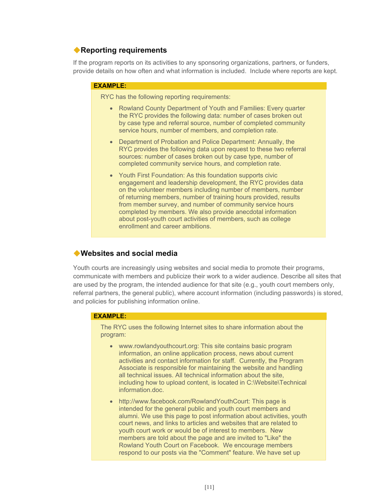# **Reporting requirements**

If the program reports on its activities to any sponsoring organizations, partners, or funders, provide details on how often and what information is included. Include where reports are kept.

#### **EXAMPLE:**

RYC has the following reporting requirements:

- Rowland County Department of Youth and Families: Every quarter the RYC provides the following data: number of cases broken out by case type and referral source, number of completed community service hours, number of members, and completion rate.
- Department of Probation and Police Department: Annually, the RYC provides the following data upon request to these two referral sources: number of cases broken out by case type, number of completed community service hours, and completion rate.
- Youth First Foundation: As this foundation supports civic engagement and leadership development, the RYC provides data on the volunteer members including number of members, number of returning members, number of training hours provided, results from member survey, and number of community service hours completed by members. We also provide anecdotal information about post-youth court activities of members, such as college enrollment and career ambitions.

# **Websites and social media**

Youth courts are increasingly using websites and social media to promote their programs, communicate with members and publicize their work to a wider audience. Describe all sites that are used by the program, the intended audience for that site (e.g., youth court members only, referral partners, the general public), where account information (including passwords) is stored, and policies for publishing information online.

#### **EXAMPLE:**

The RYC uses the following Internet sites to share information about the program:

- www.rowlandyouthcourt.org: This site contains basic program information, an online application process, news about current activities and contact information for staff. Currently, the Program Associate is responsible for maintaining the website and handling all technical issues. All technical information about the site, including how to upload content, is located in C:\Website\Technical information.doc.
- http://www.facebook.com/RowlandYouthCourt: This page is intended for the general public and youth court members and alumni. We use this page to post information about activities, youth court news, and links to articles and websites that are related to youth court work or would be of interest to members. New members are told about the page and are invited to "Like" the Rowland Youth Court on Facebook. We encourage members respond to our posts via the "Comment" feature. We have set up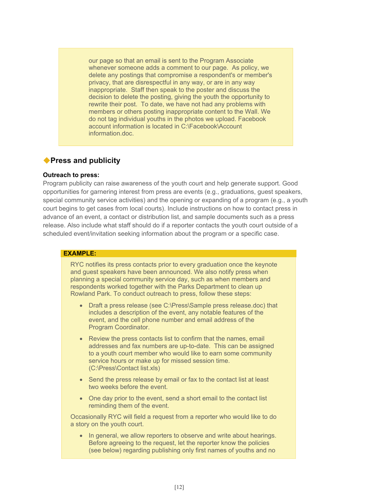our page so that an email is sent to the Program Associate whenever someone adds a comment to our page. As policy, we delete any postings that compromise a respondent's or member's privacy, that are disrespectful in any way, or are in any way inappropriate. Staff then speak to the poster and discuss the decision to delete the posting, giving the youth the opportunity to rewrite their post. To date, we have not had any problems with members or others posting inappropriate content to the Wall. We do not tag individual youths in the photos we upload. Facebook account information is located in C:\Facebook\Account information.doc.

## **Press and publicity**

## **Outreach to press:**

Program publicity can raise awareness of the youth court and help generate support. Good opportunities for garnering interest from press are events (e.g., graduations, guest speakers, special community service activities) and the opening or expanding of a program (e.g., a youth court begins to get cases from local courts). Include instructions on how to contact press in advance of an event, a contact or distribution list, and sample documents such as a press release. Also include what staff should do if a reporter contacts the youth court outside of a scheduled event/invitation seeking information about the program or a specific case.

#### **EXAMPLE:**

RYC notifies its press contacts prior to every graduation once the keynote and guest speakers have been announced. We also notify press when planning a special community service day, such as when members and respondents worked together with the Parks Department to clean up Rowland Park. To conduct outreach to press, follow these steps:

- Draft a press release (see C:\Press\Sample press release.doc) that includes a description of the event, any notable features of the event, and the cell phone number and email address of the Program Coordinator.
- Review the press contacts list to confirm that the names, email addresses and fax numbers are up-to-date. This can be assigned to a youth court member who would like to earn some community service hours or make up for missed session time. (C:\Press\Contact list.xls)
- Send the press release by email or fax to the contact list at least two weeks before the event.
- One day prior to the event, send a short email to the contact list reminding them of the event.

Occasionally RYC will field a request from a reporter who would like to do a story on the youth court.

• In general, we allow reporters to observe and write about hearings. Before agreeing to the request, let the reporter know the policies (see below) regarding publishing only first names of youths and no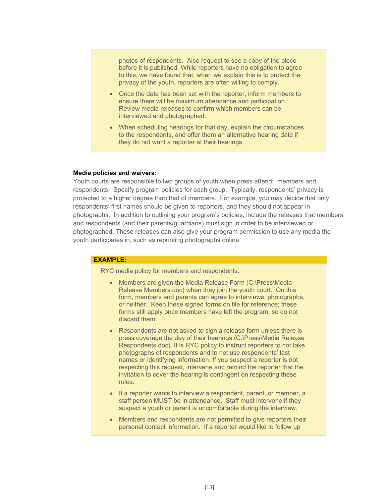photos of respondents. Also request to see a copy of the piece before it is published. While reporters have no obligation to agree to this, we have found that, when we explain this is to protect the privacy of the youth, reporters are often willing to comply.

- Once the date has been set with the reporter, inform members to ensure there will be maximum attendance and participation. Review media releases to confirm which members can be interviewed and photographed.
- When scheduling hearings for that day, explain the circumstances to the respondents, and offer them an alternative hearing date if they do not want a reporter at their hearings.

#### **Media policies and waivers:**

Youth courts are responsible to two groups of youth when press attend: members and respondents. Specify program policies for each group. Typically, respondents' privacy is protected to a higher degree than that of members. For example, you may decide that only respondents' first names should be given to reporters, and they should not appear in photographs. In addition to outlining your program's policies, include the releases that members and respondents (and their parents/guardians) must sign in order to be interviewed or photographed. These releases can also give your program permission to use any media the youth participates in, such as reprinting photographs online.

#### **EXAMPLE:**

RYC media policy for members and respondents:

- Members are given the Media Release Form (C:\Press\Media Release Members.doc) when they join the youth court. On this form, members and parents can agree to interviews, photographs, or neither. Keep these signed forms on file for reference; these forms still apply once members have left the program, so do not discard them.
- Respondents are not asked to sign a release form unless there is press coverage the day of their hearings (C:\Press\Media Release Respondents.doc). It is RYC policy to instruct reporters to not take photographs of respondents and to not use respondents' last names or identifying information. If you suspect a reporter is not respecting this request, intervene and remind the reporter that the invitation to cover the hearing is contingent on respecting these rules.
- If a reporter wants to interview a respondent, parent, or member, a staff person MUST be in attendance. Staff must intervene if they suspect a youth or parent is uncomfortable during the interview.
- Members and respondents are not permitted to give reporters their personal contact information. If a reporter would like to follow up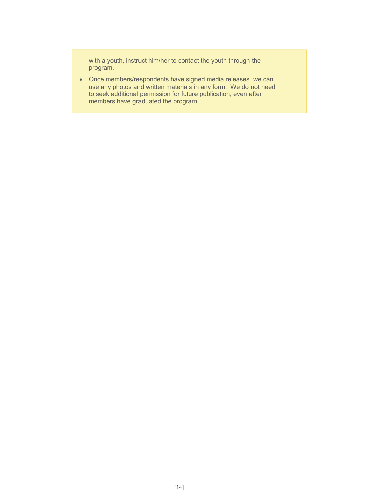with a youth, instruct him/her to contact the youth through the program.

 Once members/respondents have signed media releases, we can use any photos and written materials in any form. We do not need to seek additional permission for future publication, even after members have graduated the program.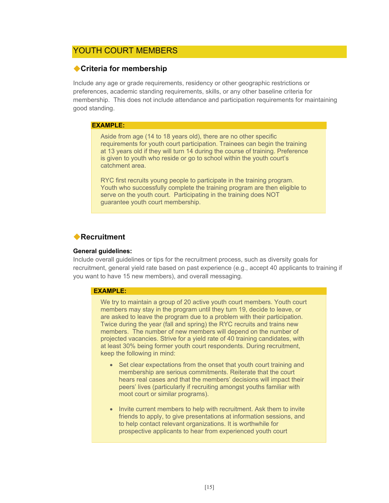# YOUTH COURT MEMBERS

## **Criteria for membership**

Include any age or grade requirements, residency or other geographic restrictions or preferences, academic standing requirements, skills, or any other baseline criteria for membership. This does not include attendance and participation requirements for maintaining good standing.

#### **EXAMPLE:**

Aside from age (14 to 18 years old), there are no other specific requirements for youth court participation. Trainees can begin the training at 13 years old if they will turn 14 during the course of training. Preference is given to youth who reside or go to school within the youth court's catchment area.

RYC first recruits young people to participate in the training program. Youth who successfully complete the training program are then eligible to serve on the youth court. Participating in the training does NOT guarantee youth court membership.

# **Recruitment**

#### **General guidelines:**

Include overall guidelines or tips for the recruitment process, such as diversity goals for recruitment, general yield rate based on past experience (e.g., accept 40 applicants to training if you want to have 15 new members), and overall messaging.

#### **EXAMPLE:**

We try to maintain a group of 20 active youth court members. Youth court members may stay in the program until they turn 19, decide to leave, or are asked to leave the program due to a problem with their participation. Twice during the year (fall and spring) the RYC recruits and trains new members. The number of new members will depend on the number of projected vacancies. Strive for a yield rate of 40 training candidates, with at least 30% being former youth court respondents. During recruitment, keep the following in mind:

- Set clear expectations from the onset that youth court training and membership are serious commitments. Reiterate that the court hears real cases and that the members' decisions will impact their peers' lives (particularly if recruiting amongst youths familiar with moot court or similar programs).
- Invite current members to help with recruitment. Ask them to invite friends to apply, to give presentations at information sessions, and to help contact relevant organizations. It is worthwhile for prospective applicants to hear from experienced youth court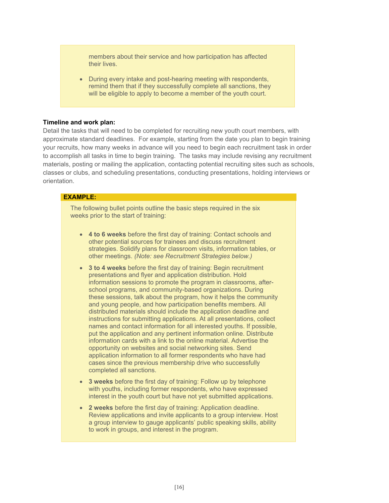members about their service and how participation has affected their lives.

 During every intake and post-hearing meeting with respondents, remind them that if they successfully complete all sanctions, they will be eligible to apply to become a member of the youth court.

#### **Timeline and work plan:**

Detail the tasks that will need to be completed for recruiting new youth court members, with approximate standard deadlines. For example, starting from the date you plan to begin training your recruits, how many weeks in advance will you need to begin each recruitment task in order to accomplish all tasks in time to begin training. The tasks may include revising any recruitment materials, posting or mailing the application, contacting potential recruiting sites such as schools, classes or clubs, and scheduling presentations, conducting presentations, holding interviews or orientation.

#### **EXAMPLE:**

The following bullet points outline the basic steps required in the six weeks prior to the start of training:

- **4 to 6 weeks** before the first day of training: Contact schools and other potential sources for trainees and discuss recruitment strategies. Solidify plans for classroom visits, information tables, or other meetings. *(Note: see Recruitment Strategies below.)*
- **3 to 4 weeks** before the first day of training: Begin recruitment presentations and flyer and application distribution. Hold information sessions to promote the program in classrooms, afterschool programs, and community-based organizations. During these sessions, talk about the program, how it helps the community and young people, and how participation benefits members. All distributed materials should include the application deadline and instructions for submitting applications. At all presentations, collect names and contact information for all interested youths. If possible, put the application and any pertinent information online. Distribute information cards with a link to the online material. Advertise the opportunity on websites and social networking sites. Send application information to all former respondents who have had cases since the previous membership drive who successfully completed all sanctions.
- **3 weeks** before the first day of training: Follow up by telephone with youths, including former respondents, who have expressed interest in the youth court but have not yet submitted applications.
- **2 weeks** before the first day of training: Application deadline. Review applications and invite applicants to a group interview. Host a group interview to gauge applicants' public speaking skills, ability to work in groups, and interest in the program.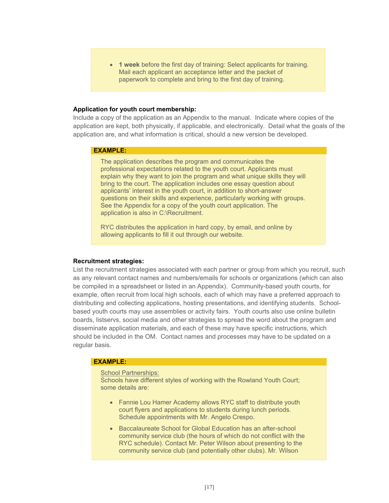**1 week** before the first day of training: Select applicants for training. Mail each applicant an acceptance letter and the packet of paperwork to complete and bring to the first day of training.

#### **Application for youth court membership:**

Include a copy of the application as an Appendix to the manual. Indicate where copies of the application are kept, both physically, if applicable, and electronically. Detail what the goals of the application are, and what information is critical, should a new version be developed.

#### **EXAMPLE:**

The application describes the program and communicates the professional expectations related to the youth court. Applicants must explain why they want to join the program and what unique skills they will bring to the court. The application includes one essay question about applicants' interest in the youth court, in addition to short-answer questions on their skills and experience, particularly working with groups. See the Appendix for a copy of the youth court application. The application is also in C:\Recruitment.

RYC distributes the application in hard copy, by email, and online by allowing applicants to fill it out through our website.

#### **Recruitment strategies:**

List the recruitment strategies associated with each partner or group from which you recruit, such as any relevant contact names and numbers/emails for schools or organizations (which can also be compiled in a spreadsheet or listed in an Appendix). Community-based youth courts, for example, often recruit from local high schools, each of which may have a preferred approach to distributing and collecting applications, hosting presentations, and identifying students. Schoolbased youth courts may use assemblies or activity fairs. Youth courts also use online bulletin boards, listservs, social media and other strategies to spread the word about the program and disseminate application materials, and each of these may have specific instructions, which should be included in the OM. Contact names and processes may have to be updated on a regular basis.

#### **EXAMPLE:**

#### School Partnerships:

Schools have different styles of working with the Rowland Youth Court; some details are:

- Fannie Lou Hamer Academy allows RYC staff to distribute youth court flyers and applications to students during lunch periods. Schedule appointments with Mr. Angelo Crespo.
- Baccalaureate School for Global Education has an after-school community service club (the hours of which do not conflict with the RYC schedule). Contact Mr. Peter Wilson about presenting to the community service club (and potentially other clubs). Mr. Wilson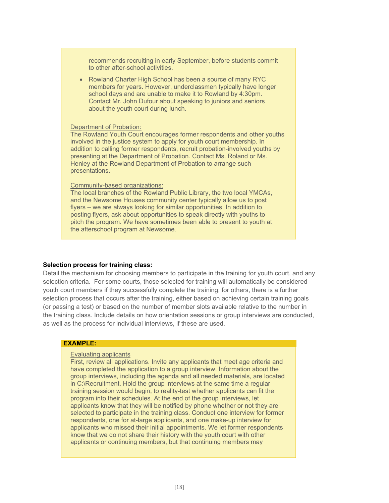recommends recruiting in early September, before students commit to other after-school activities.

• Rowland Charter High School has been a source of many RYC members for years. However, underclassmen typically have longer school days and are unable to make it to Rowland by 4:30pm. Contact Mr. John Dufour about speaking to juniors and seniors about the youth court during lunch.

#### Department of Probation:

The Rowland Youth Court encourages former respondents and other youths involved in the justice system to apply for youth court membership. In addition to calling former respondents, recruit probation-involved youths by presenting at the Department of Probation. Contact Ms. Roland or Ms. Henley at the Rowland Department of Probation to arrange such presentations.

#### Community-based organizations:

The local branches of the Rowland Public Library, the two local YMCAs, and the Newsome Houses community center typically allow us to post flyers – we are always looking for similar opportunities. In addition to posting flyers, ask about opportunities to speak directly with youths to pitch the program. We have sometimes been able to present to youth at the afterschool program at Newsome.

#### **Selection process for training class:**

Detail the mechanism for choosing members to participate in the training for youth court, and any selection criteria. For some courts, those selected for training will automatically be considered youth court members if they successfully complete the training; for others, there is a further selection process that occurs after the training, either based on achieving certain training goals (or passing a test) or based on the number of member slots available relative to the number in the training class. Include details on how orientation sessions or group interviews are conducted, as well as the process for individual interviews, if these are used.

#### **EXAMPLE:**

#### Evaluating applicants

First, review all applications. Invite any applicants that meet age criteria and have completed the application to a group interview. Information about the group interviews, including the agenda and all needed materials, are located in C:\Recruitment. Hold the group interviews at the same time a regular training session would begin, to reality-test whether applicants can fit the program into their schedules. At the end of the group interviews, let applicants know that they will be notified by phone whether or not they are selected to participate in the training class. Conduct one interview for former respondents, one for at-large applicants, and one make-up interview for applicants who missed their initial appointments. We let former respondents know that we do not share their history with the youth court with other applicants or continuing members, but that continuing members may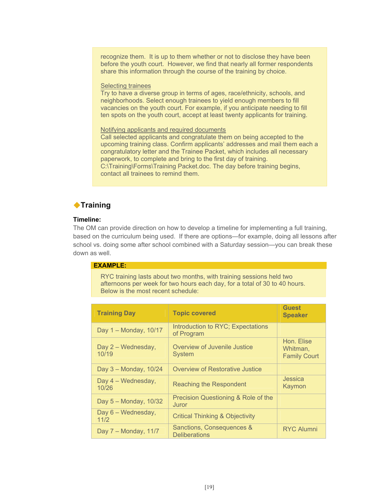recognize them. It is up to them whether or not to disclose they have been before the youth court. However, we find that nearly all former respondents share this information through the course of the training by choice.

#### Selecting trainees

Try to have a diverse group in terms of ages, race/ethnicity, schools, and neighborhoods. Select enough trainees to yield enough members to fill vacancies on the youth court. For example, if you anticipate needing to fill ten spots on the youth court, accept at least twenty applicants for training.

#### Notifying applicants and required documents

Call selected applicants and congratulate them on being accepted to the upcoming training class. Confirm applicants' addresses and mail them each a congratulatory letter and the Trainee Packet, which includes all necessary paperwork, to complete and bring to the first day of training. C:\Training\Forms\Training Packet.doc. The day before training begins, contact all trainees to remind them.

# ◆Training

## **Timeline:**

The OM can provide direction on how to develop a timeline for implementing a full training, based on the curriculum being used. If there are options—for example, doing all lessons after school vs. doing some after school combined with a Saturday session—you can break these down as well.

## **EXAMPLE:**

RYC training lasts about two months, with training sessions held two afternoons per week for two hours each day, for a total of 30 to 40 hours. Below is the most recent schedule:

| <b>Training Day</b>         | <b>Topic covered</b>                              | <b>Guest</b><br><b>Speaker</b>                |
|-----------------------------|---------------------------------------------------|-----------------------------------------------|
| Day 1 - Monday, 10/17       | Introduction to RYC; Expectations<br>of Program   |                                               |
| Day 2 - Wednesday,<br>10/19 | Overview of Juvenile Justice<br><b>System</b>     | Hon. Elise<br>Whitman.<br><b>Family Court</b> |
| Day 3 - Monday, 10/24       | Overview of Restorative Justice                   |                                               |
| Day 4 - Wednesday,<br>10/26 | Reaching the Respondent                           | Jessica<br>Kaymon                             |
| Day 5 - Monday, 10/32       | Precision Questioning & Role of the<br>Juror      |                                               |
| Day 6 - Wednesday,<br>11/2  | <b>Critical Thinking &amp; Objectivity</b>        |                                               |
| Day 7 - Monday, 11/7        | Sanctions, Consequences &<br><b>Deliberations</b> | <b>RYC Alumni</b>                             |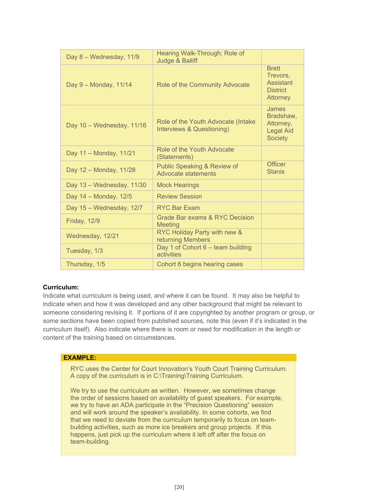| Day 8 - Wednesday, 11/9   | Hearing Walk-Through; Role of<br>Judge & Bailiff                |                                                                       |
|---------------------------|-----------------------------------------------------------------|-----------------------------------------------------------------------|
| Day 9 - Monday, 11/14     | Role of the Community Advocate                                  | <b>Brett</b><br>Trevors,<br>Assistant<br><b>District</b><br>Attorney  |
| Day 10 - Wednesday, 11/16 | Role of the Youth Advocate (Intake<br>Interviews & Questioning) | James<br>Bradshaw,<br>Attorney,<br><b>Legal Aid</b><br><b>Society</b> |
| Day 11 - Monday, 11/21    | Role of the Youth Advocate<br>(Statements)                      |                                                                       |
| Day 12 - Monday, 11/28    | Public Speaking & Review of<br>Advocate statements              | <b>Officer</b><br><b>Stanis</b>                                       |
| Day 13 - Wednesday, 11/30 | <b>Mock Hearings</b>                                            |                                                                       |
| Day 14 - Monday, 12/5     | <b>Review Session</b>                                           |                                                                       |
| Day 15 - Wednesday, 12/7  | <b>RYC Bar Exam</b>                                             |                                                                       |
| <b>Friday, 12/9</b>       | Grade Bar exams & RYC Decision<br>Meeting                       |                                                                       |
| Wednesday, 12/21          | RYC Holiday Party with new &<br>returning Members               |                                                                       |
| Tuesday, 1/3              | Day 1 of Cohort 6 - team building<br>activities                 |                                                                       |
| Thursday, 1/5             | Cohort 6 begins hearing cases                                   |                                                                       |

## **Curriculum:**

Indicate what curriculum is being used, and where it can be found. It may also be helpful to indicate when and how it was developed and any other background that might be relevant to someone considering revising it. If portions of it are copyrighted by another program or group, or some sections have been copied from published sources, note this (even if it's indicated in the curriculum itself). Also indicate where there is room or need for modification in the length or content of the training based on circumstances.

#### **EXAMPLE:**

RYC uses the Center for Court Innovation's Youth Court Training Curriculum. A copy of the curriculum is in C:\Training\Training Curriculum.

We try to use the curriculum as written. However, we sometimes change the order of sessions based on availability of guest speakers. For example, we try to have an ADA participate in the "Precision Questioning" session and will work around the speaker's availability. In some cohorts, we find that we need to deviate from the curriculum temporarily to focus on teambuilding activities, such as more ice breakers and group projects. If this happens, just pick up the curriculum where it left off after the focus on team-building.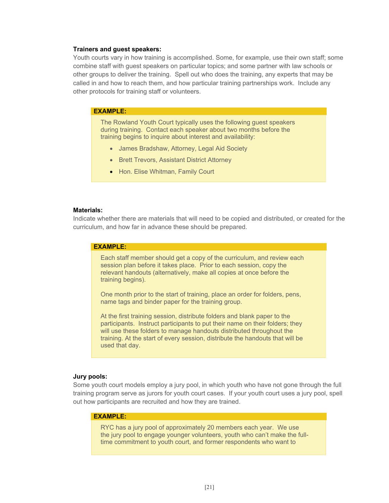#### **Trainers and guest speakers:**

Youth courts vary in how training is accomplished. Some, for example, use their own staff; some combine staff with guest speakers on particular topics; and some partner with law schools or other groups to deliver the training. Spell out who does the training, any experts that may be called in and how to reach them, and how particular training partnerships work. Include any other protocols for training staff or volunteers.

#### **EXAMPLE:**

The Rowland Youth Court typically uses the following guest speakers during training. Contact each speaker about two months before the training begins to inquire about interest and availability:

- James Bradshaw, Attorney, Legal Aid Society
- Brett Trevors, Assistant District Attorney
- Hon. Elise Whitman, Family Court

#### **Materials:**

Indicate whether there are materials that will need to be copied and distributed, or created for the curriculum, and how far in advance these should be prepared.

#### **EXAMPLE:**

Each staff member should get a copy of the curriculum, and review each session plan before it takes place. Prior to each session, copy the relevant handouts (alternatively, make all copies at once before the training begins).

One month prior to the start of training, place an order for folders, pens, name tags and binder paper for the training group.

At the first training session, distribute folders and blank paper to the participants. Instruct participants to put their name on their folders; they will use these folders to manage handouts distributed throughout the training. At the start of every session, distribute the handouts that will be used that day.

#### **Jury pools:**

Some youth court models employ a jury pool, in which youth who have not gone through the full training program serve as jurors for youth court cases. If your youth court uses a jury pool, spell out how participants are recruited and how they are trained.

#### **EXAMPLE:**

RYC has a jury pool of approximately 20 members each year. We use the jury pool to engage younger volunteers, youth who can't make the fulltime commitment to youth court, and former respondents who want to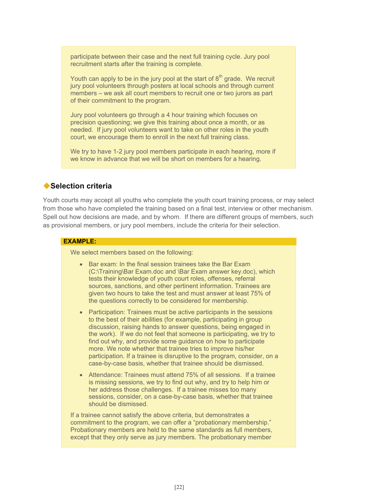participate between their case and the next full training cycle. Jury pool recruitment starts after the training is complete.

Youth can apply to be in the jury pool at the start of  $8<sup>th</sup>$  grade. We recruit jury pool volunteers through posters at local schools and through current members – we ask all court members to recruit one or two jurors as part of their commitment to the program.

Jury pool volunteers go through a 4 hour training which focuses on precision questioning; we give this training about once a month, or as needed. If jury pool volunteers want to take on other roles in the youth court, we encourage them to enroll in the next full training class.

We try to have 1-2 jury pool members participate in each hearing, more if we know in advance that we will be short on members for a hearing.

## **Selection criteria**

Youth courts may accept all youths who complete the youth court training process, or may select from those who have completed the training based on a final test, interview or other mechanism. Spell out how decisions are made, and by whom. If there are different groups of members, such as provisional members, or jury pool members, include the criteria for their selection.

#### **EXAMPLE:**

We select members based on the following:

- Bar exam: In the final session trainees take the Bar Exam (C:\Training\Bar Exam.doc and \Bar Exam answer key.doc), which tests their knowledge of youth court roles, offenses, referral sources, sanctions, and other pertinent information. Trainees are given two hours to take the test and must answer at least 75% of the questions correctly to be considered for membership.
- Participation: Trainees must be active participants in the sessions to the best of their abilities (for example, participating in group discussion, raising hands to answer questions, being engaged in the work). If we do not feel that someone is participating, we try to find out why, and provide some guidance on how to participate more. We note whether that trainee tries to improve his/her participation. If a trainee is disruptive to the program, consider, on a case-by-case basis, whether that trainee should be dismissed.
- Attendance: Trainees must attend 75% of all sessions. If a trainee is missing sessions, we try to find out why, and try to help him or her address those challenges. If a trainee misses too many sessions, consider, on a case-by-case basis, whether that trainee should be dismissed.

If a trainee cannot satisfy the above criteria, but demonstrates a commitment to the program, we can offer a "probationary membership." Probationary members are held to the same standards as full members, except that they only serve as jury members. The probationary member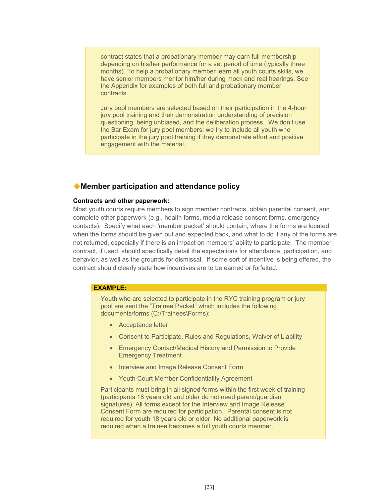contract states that a probationary member may earn full membership depending on his/her performance for a set period of time (typically three months). To help a probationary member learn all youth courts skills, we have senior members mentor him/her during mock and real hearings. See the Appendix for examples of both full and probationary member contracts.

Jury pool members are selected based on their participation in the 4-hour jury pool training and their demonstration understanding of precision questioning, being unbiased, and the deliberation process. We don't use the Bar Exam for jury pool members; we try to include all youth who participate in the jury pool training if they demonstrate effort and positive engagement with the material.

## **Member participation and attendance policy**

#### **Contracts and other paperwork:**

Most youth courts require members to sign member contracts, obtain parental consent, and complete other paperwork (e.g., health forms, media release consent forms, emergency contacts). Specify what each 'member packet' should contain, where the forms are located, when the forms should be given out and expected back, and what to do if any of the forms are not returned, especially if there is an impact on members' ability to participate. The member contract, if used, should specifically detail the expectations for attendance, participation, and behavior, as well as the grounds for dismissal. If some sort of incentive is being offered, the contract should clearly state how incentives are to be earned or forfeited.

## **EXAMPLE:**

Youth who are selected to participate in the RYC training program or jury pool are sent the "Trainee Packet" which includes the following documents/forms (C:\Trainees\Forms):

- Acceptance letter
- Consent to Participate, Rules and Regulations, Waiver of Liability
- Emergency Contact/Medical History and Permission to Provide Emergency Treatment
- Interview and Image Release Consent Form
- Youth Court Member Confidentiality Agreement

Participants must bring in all signed forms within the first week of training (participants 18 years old and older do not need parent/guardian signatures). All forms except for the Interview and Image Release Consent Form are required for participation. Parental consent is not required for youth 18 years old or older. No additional paperwork is required when a trainee becomes a full youth courts member.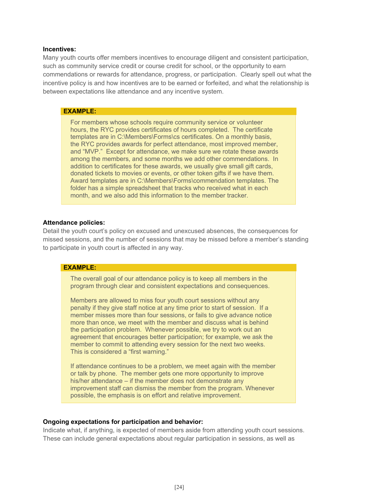#### **Incentives:**

Many youth courts offer members incentives to encourage diligent and consistent participation, such as community service credit or course credit for school, or the opportunity to earn commendations or rewards for attendance, progress, or participation. Clearly spell out what the incentive policy is and how incentives are to be earned or forfeited, and what the relationship is between expectations like attendance and any incentive system.

#### **EXAMPLE:**

For members whose schools require community service or volunteer hours, the RYC provides certificates of hours completed. The certificate templates are in C:\Members\Forms\cs certificates. On a monthly basis, the RYC provides awards for perfect attendance, most improved member, and "MVP." Except for attendance, we make sure we rotate these awards among the members, and some months we add other commendations. In addition to certificates for these awards, we usually give small gift cards, donated tickets to movies or events, or other token gifts if we have them. Award templates are in C:\Members\Forms\commendation templates. The folder has a simple spreadsheet that tracks who received what in each month, and we also add this information to the member tracker.

#### **Attendance policies:**

Detail the youth court's policy on excused and unexcused absences, the consequences for missed sessions, and the number of sessions that may be missed before a member's standing to participate in youth court is affected in any way.

#### **EXAMPLE:**

The overall goal of our attendance policy is to keep all members in the program through clear and consistent expectations and consequences.

Members are allowed to miss four youth court sessions without any penalty if they give staff notice at any time prior to start of session. If a member misses more than four sessions, or fails to give advance notice more than once, we meet with the member and discuss what is behind the participation problem. Whenever possible, we try to work out an agreement that encourages better participation; for example, we ask the member to commit to attending every session for the next two weeks. This is considered a "first warning."

If attendance continues to be a problem, we meet again with the member or talk by phone. The member gets one more opportunity to improve his/her attendance – if the member does not demonstrate any improvement staff can dismiss the member from the program. Whenever possible, the emphasis is on effort and relative improvement.

#### **Ongoing expectations for participation and behavior:**

Indicate what, if anything, is expected of members aside from attending youth court sessions. These can include general expectations about regular participation in sessions, as well as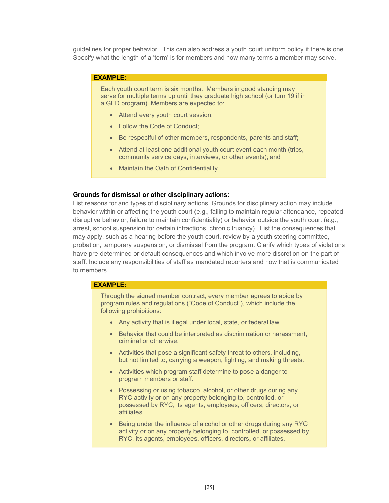guidelines for proper behavior. This can also address a youth court uniform policy if there is one. Specify what the length of a 'term' is for members and how many terms a member may serve.

#### **EXAMPLE:**

Each youth court term is six months. Members in good standing may serve for multiple terms up until they graduate high school (or turn 19 if in a GED program). Members are expected to:

- Attend every youth court session;
- Follow the Code of Conduct;
- Be respectful of other members, respondents, parents and staff;
- Attend at least one additional youth court event each month (trips, community service days, interviews, or other events); and
- Maintain the Oath of Confidentiality.

#### **Grounds for dismissal or other disciplinary actions:**

List reasons for and types of disciplinary actions. Grounds for disciplinary action may include behavior within or affecting the youth court (e.g., failing to maintain regular attendance, repeated disruptive behavior, failure to maintain confidentiality) or behavior outside the youth court (e.g., arrest, school suspension for certain infractions, chronic truancy). List the consequences that may apply, such as a hearing before the youth court, review by a youth steering committee, probation, temporary suspension, or dismissal from the program. Clarify which types of violations have pre-determined or default consequences and which involve more discretion on the part of staff. Include any responsibilities of staff as mandated reporters and how that is communicated to members.

#### **EXAMPLE:**

Through the signed member contract, every member agrees to abide by program rules and regulations ("Code of Conduct"), which include the following prohibitions:

- Any activity that is illegal under local, state, or federal law.
- Behavior that could be interpreted as discrimination or harassment, criminal or otherwise.
- Activities that pose a significant safety threat to others, including, but not limited to, carrying a weapon, fighting, and making threats.
- Activities which program staff determine to pose a danger to program members or staff.
- Possessing or using tobacco, alcohol, or other drugs during any RYC activity or on any property belonging to, controlled, or possessed by RYC, its agents, employees, officers, directors, or affiliates.
- Being under the influence of alcohol or other drugs during any RYC activity or on any property belonging to, controlled, or possessed by RYC, its agents, employees, officers, directors, or affiliates.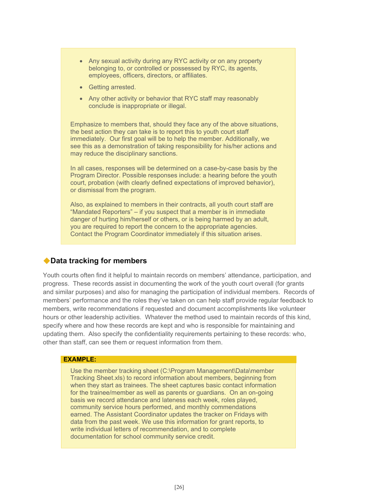- Any sexual activity during any RYC activity or on any property belonging to, or controlled or possessed by RYC, its agents, employees, officers, directors, or affiliates.
- Getting arrested.
- Any other activity or behavior that RYC staff may reasonably conclude is inappropriate or illegal.

Emphasize to members that, should they face any of the above situations, the best action they can take is to report this to youth court staff immediately. Our first goal will be to help the member. Additionally, we see this as a demonstration of taking responsibility for his/her actions and may reduce the disciplinary sanctions.

In all cases, responses will be determined on a case-by-case basis by the Program Director. Possible responses include: a hearing before the youth court, probation (with clearly defined expectations of improved behavior), or dismissal from the program.

Also, as explained to members in their contracts, all youth court staff are "Mandated Reporters" – if you suspect that a member is in immediate danger of hurting him/herself or others, or is being harmed by an adult, you are required to report the concern to the appropriate agencies. Contact the Program Coordinator immediately if this situation arises.

# **Data tracking for members**

Youth courts often find it helpful to maintain records on members' attendance, participation, and progress. These records assist in documenting the work of the youth court overall (for grants and similar purposes) and also for managing the participation of individual members. Records of members' performance and the roles they've taken on can help staff provide regular feedback to members, write recommendations if requested and document accomplishments like volunteer hours or other leadership activities. Whatever the method used to maintain records of this kind, specify where and how these records are kept and who is responsible for maintaining and updating them. Also specify the confidentiality requirements pertaining to these records: who, other than staff, can see them or request information from them.

#### **EXAMPLE:**

Use the member tracking sheet (C:\Program Management\Data\member Tracking Sheet.xls) to record information about members, beginning from when they start as trainees. The sheet captures basic contact information for the trainee/member as well as parents or guardians. On an on-going basis we record attendance and lateness each week, roles played, community service hours performed, and monthly commendations earned. The Assistant Coordinator updates the tracker on Fridays with data from the past week. We use this information for grant reports, to write individual letters of recommendation, and to complete documentation for school community service credit.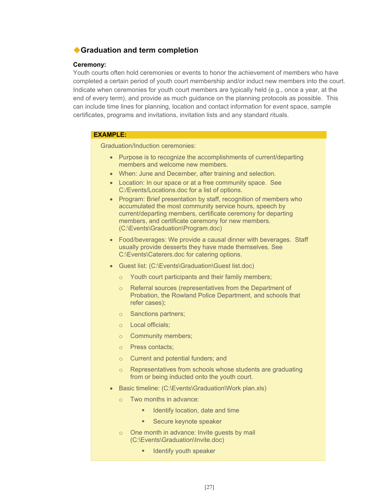# **Graduation and term completion**

#### **Ceremony:**

Youth courts often hold ceremonies or events to honor the achievement of members who have completed a certain period of youth court membership and/or induct new members into the court. Indicate when ceremonies for youth court members are typically held (e.g., once a year, at the end of every term), and provide as much guidance on the planning protocols as possible. This can include time lines for planning, location and contact information for event space, sample certificates, programs and invitations, invitation lists and any standard rituals.

#### **EXAMPLE:**

Graduation/Induction ceremonies:

- Purpose is to recognize the accomplishments of current/departing members and welcome new members.
- When: June and December, after training and selection.
- Location: In our space or at a free community space. See C:/Events/Locations.doc for a list of options.
- Program: Brief presentation by staff, recognition of members who accumulated the most community service hours, speech by current/departing members, certificate ceremony for departing members, and certificate ceremony for new members. (C:\Events\Graduation\Program.doc)
- Food/beverages: We provide a causal dinner with beverages. Staff usually provide desserts they have made themselves. See C:\Events\Caterers.doc for catering options.
- Guest list: (C:\Events\Graduation\Guest list.doc)
	- o Youth court participants and their family members;
	- o Referral sources (representatives from the Department of Probation, the Rowland Police Department, and schools that refer cases);
	- o Sanctions partners;
	- o Local officials;
	- o Community members;
	- o Press contacts;
	- o Current and potential funders; and
	- o Representatives from schools whose students are graduating from or being inducted onto the youth court.
- Basic timeline: (C:\Events\Graduation\Work plan.xls)
	- o Two months in advance:
		- Identify location, date and time
		- **Secure keynote speaker**
	- o One month in advance: Invite guests by mail (C:\Events\Graduation\Invite.doc)
		- **IDENTIFY youth speaker**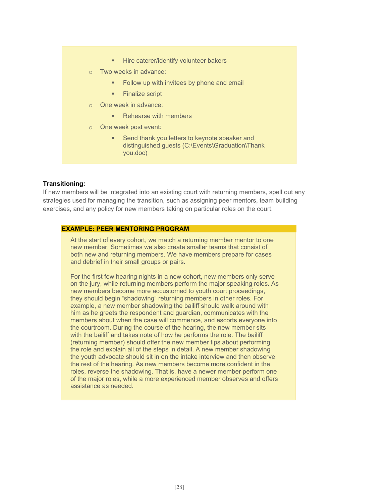- **Hire caterer/identify volunteer bakers**
- o Two weeks in advance:
	- Follow up with invitees by phone and email
	- Finalize script
- One week in advance:
	- Rehearse with members
- One week post event:
	- **Send thank you letters to keynote speaker and** distinguished guests (C:\Events\Graduation\Thank you.doc)

#### **Transitioning:**

If new members will be integrated into an existing court with returning members, spell out any strategies used for managing the transition, such as assigning peer mentors, team building exercises, and any policy for new members taking on particular roles on the court.

## **EXAMPLE: PEER MENTORING PROGRAM**

At the start of every cohort, we match a returning member mentor to one new member. Sometimes we also create smaller teams that consist of both new and returning members. We have members prepare for cases and debrief in their small groups or pairs.

For the first few hearing nights in a new cohort, new members only serve on the jury, while returning members perform the major speaking roles. As new members become more accustomed to youth court proceedings, they should begin "shadowing" returning members in other roles. For example, a new member shadowing the bailiff should walk around with him as he greets the respondent and guardian, communicates with the members about when the case will commence, and escorts everyone into the courtroom. During the course of the hearing, the new member sits with the bailiff and takes note of how he performs the role. The bailiff (returning member) should offer the new member tips about performing the role and explain all of the steps in detail. A new member shadowing the youth advocate should sit in on the intake interview and then observe the rest of the hearing. As new members become more confident in the roles, reverse the shadowing. That is, have a newer member perform one of the major roles, while a more experienced member observes and offers assistance as needed.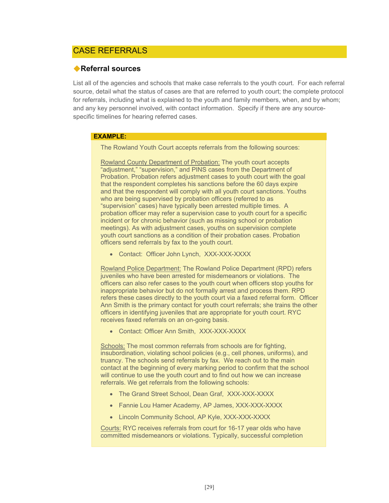# CASE REFERRALS

## **Referral sources**

List all of the agencies and schools that make case referrals to the youth court. For each referral source, detail what the status of cases are that are referred to youth court; the complete protocol for referrals, including what is explained to the youth and family members, when, and by whom; and any key personnel involved, with contact information. Specify if there are any sourcespecific timelines for hearing referred cases.

## **EXAMPLE:**

The Rowland Youth Court accepts referrals from the following sources:

Rowland County Department of Probation: The youth court accepts "adjustment," "supervision," and PINS cases from the Department of Probation. Probation refers adjustment cases to youth court with the goal that the respondent completes his sanctions before the 60 days expire and that the respondent will comply with all youth court sanctions. Youths who are being supervised by probation officers (referred to as "supervision" cases) have typically been arrested multiple times. A probation officer may refer a supervision case to youth court for a specific incident or for chronic behavior (such as missing school or probation meetings). As with adjustment cases, youths on supervision complete youth court sanctions as a condition of their probation cases. Probation officers send referrals by fax to the youth court.

• Contact: Officer John Lynch, XXX-XXX-XXXX

Rowland Police Department: The Rowland Police Department (RPD) refers juveniles who have been arrested for misdemeanors or violations. The officers can also refer cases to the youth court when officers stop youths for inappropriate behavior but do not formally arrest and process them. RPD refers these cases directly to the youth court via a faxed referral form. Officer Ann Smith is the primary contact for youth court referrals; she trains the other officers in identifying juveniles that are appropriate for youth court. RYC receives faxed referrals on an on-going basis.

• Contact: Officer Ann Smith, XXX-XXX-XXXX

Schools: The most common referrals from schools are for fighting, insubordination, violating school policies (e.g., cell phones, uniforms), and truancy. The schools send referrals by fax. We reach out to the main contact at the beginning of every marking period to confirm that the school will continue to use the youth court and to find out how we can increase referrals. We get referrals from the following schools:

- The Grand Street School, Dean Graf, XXX-XXX-XXXX
- Fannie Lou Hamer Academy, AP James, XXX-XXX-XXXX
- Lincoln Community School, AP Kyle, XXX-XXX-XXXX

Courts: RYC receives referrals from court for 16-17 year olds who have committed misdemeanors or violations. Typically, successful completion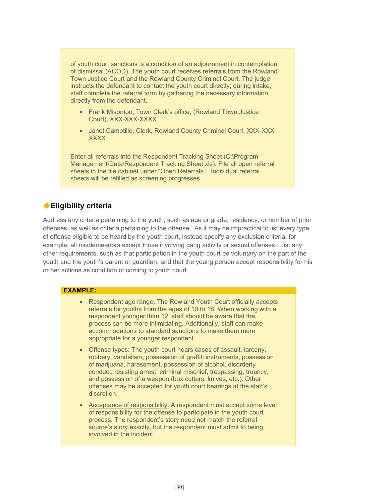of youth court sanctions is a condition of an adjournment in contemplation of dismissal (ACOD). The youth court receives referrals from the Rowland Town Justice Court and the Rowland County Criminal Court. The judge instructs the defendant to contact the youth court directly; during intake, staff complete the referral form by gathering the necessary information directly from the defendant.

- Frank Misonton, Town Clerk's office, (Rowland Town Justice Court), XXX-XXX-XXXX
- Janet Camptillo, Clerk, Rowland County Criminal Court, XXX-XXX-XXXX

Enter all referrals into the Respondent Tracking Sheet (C:\Program Management\Data\Respondent Tracking Sheet.xls). File all open referral sheets in the file cabinet under "Open Referrals." Individual referral sheets will be refilled as screening progresses.

# **Eligibility criteria**

Address any criteria pertaining to the youth, such as age or grade, residency, or number of prior offenses, as well as criteria pertaining to the offense. As it may be impractical to list every type of offense eligible to be heard by the youth court, instead specify any exclusion criteria: for example, all misdemeanors except those involving gang activity or sexual offenses. List any other requirements, such as that participation in the youth court be voluntary on the part of the youth and the youth's parent or guardian, and that the young person accept responsibility for his or her actions as condition of coming to youth court.

#### **EXAMPLE:**

- Respondent age range: The Rowland Youth Court officially accepts referrals for youths from the ages of 10 to 18. When working with a respondent younger than 12, staff should be aware that the process can be more intimidating. Additionally, staff can make accommodations to standard sanctions to make them more appropriate for a younger respondent.
- Offense types: The youth court hears cases of assault, larceny, robbery, vandalism, possession of graffiti instruments, possession of marijuana, harassment, possession of alcohol, disorderly conduct, resisting arrest, criminal mischief, trespassing, truancy, and possession of a weapon (box cutters, knives, etc.). Other offenses may be accepted for youth court hearings at the staff's discretion.
- Acceptance of responsibility: A respondent must accept some level of responsibility for the offense to participate in the youth court process. The respondent's story need not match the referral source's story exactly, but the respondent must admit to being involved in the incident.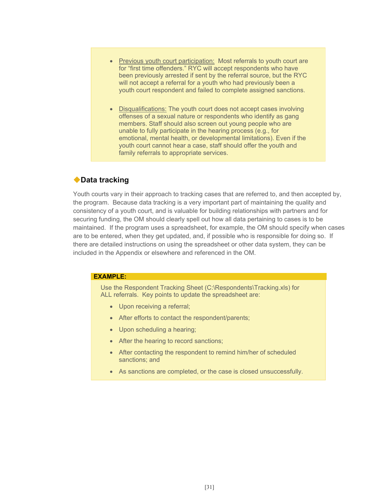- Previous youth court participation: Most referrals to youth court are for "first time offenders." RYC will accept respondents who have been previously arrested if sent by the referral source, but the RYC will not accept a referral for a youth who had previously been a youth court respondent and failed to complete assigned sanctions.
- Disqualifications: The youth court does not accept cases involving offenses of a sexual nature or respondents who identify as gang members. Staff should also screen out young people who are unable to fully participate in the hearing process (e.g., for emotional, mental health, or developmental limitations). Even if the youth court cannot hear a case, staff should offer the youth and family referrals to appropriate services.

# **Data tracking**

Youth courts vary in their approach to tracking cases that are referred to, and then accepted by, the program. Because data tracking is a very important part of maintaining the quality and consistency of a youth court, and is valuable for building relationships with partners and for securing funding, the OM should clearly spell out how all data pertaining to cases is to be maintained. If the program uses a spreadsheet, for example, the OM should specify when cases are to be entered, when they get updated, and, if possible who is responsible for doing so. If there are detailed instructions on using the spreadsheet or other data system, they can be included in the Appendix or elsewhere and referenced in the OM.

## **EXAMPLE:**

Use the Respondent Tracking Sheet (C:\Respondents\Tracking.xls) for ALL referrals. Key points to update the spreadsheet are:

- Upon receiving a referral;
- After efforts to contact the respondent/parents;
- Upon scheduling a hearing;
- After the hearing to record sanctions;
- After contacting the respondent to remind him/her of scheduled sanctions; and
- As sanctions are completed, or the case is closed unsuccessfully.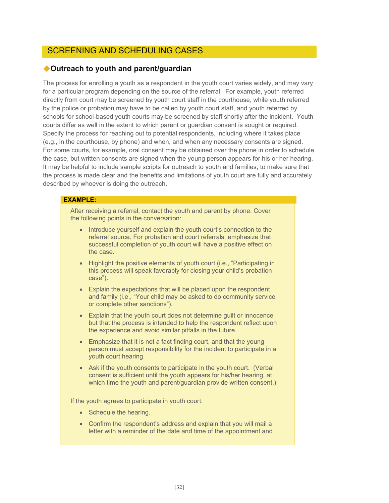# SCREENING AND SCHEDULING CASES

## **Outreach to youth and parent/guardian**

The process for enrolling a youth as a respondent in the youth court varies widely, and may vary for a particular program depending on the source of the referral. For example, youth referred directly from court may be screened by youth court staff in the courthouse, while youth referred by the police or probation may have to be called by youth court staff, and youth referred by schools for school-based youth courts may be screened by staff shortly after the incident. Youth courts differ as well in the extent to which parent or guardian consent is sought or required. Specify the process for reaching out to potential respondents, including where it takes place (e.g., in the courthouse, by phone) and when, and when any necessary consents are signed. For some courts, for example, oral consent may be obtained over the phone in order to schedule the case, but written consents are signed when the young person appears for his or her hearing. It may be helpful to include sample scripts for outreach to youth and families, to make sure that the process is made clear and the benefits and limitations of youth court are fully and accurately described by whoever is doing the outreach.

## **EXAMPLE:**

After receiving a referral, contact the youth and parent by phone. Cover the following points in the conversation:

- Introduce yourself and explain the youth court's connection to the referral source. For probation and court referrals, emphasize that successful completion of youth court will have a positive effect on the case.
- Highlight the positive elements of youth court (i.e., "Participating in this process will speak favorably for closing your child's probation case").
- Explain the expectations that will be placed upon the respondent and family (i.e., "Your child may be asked to do community service or complete other sanctions").
- Explain that the youth court does not determine guilt or innocence but that the process is intended to help the respondent reflect upon the experience and avoid similar pitfalls in the future.
- Emphasize that it is not a fact finding court, and that the young person must accept responsibility for the incident to participate in a youth court hearing.
- Ask if the youth consents to participate in the youth court. (Verbal consent is sufficient until the youth appears for his/her hearing, at which time the youth and parent/guardian provide written consent.)

If the youth agrees to participate in youth court:

- Schedule the hearing.
- Confirm the respondent's address and explain that you will mail a letter with a reminder of the date and time of the appointment and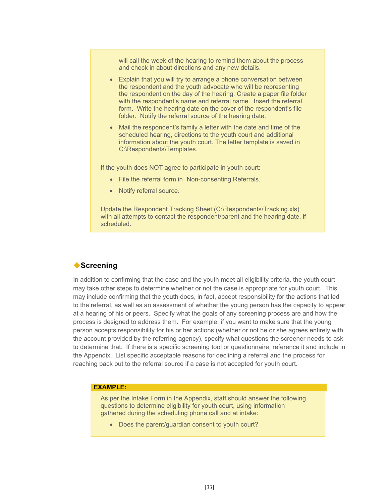will call the week of the hearing to remind them about the process and check in about directions and any new details.

- Explain that you will try to arrange a phone conversation between the respondent and the youth advocate who will be representing the respondent on the day of the hearing. Create a paper file folder with the respondent's name and referral name. Insert the referral form. Write the hearing date on the cover of the respondent's file folder. Notify the referral source of the hearing date.
- Mail the respondent's family a letter with the date and time of the scheduled hearing, directions to the youth court and additional information about the youth court. The letter template is saved in C:\Respondents\Templates.

If the youth does NOT agree to participate in youth court:

- File the referral form in "Non-consenting Referrals."
- Notify referral source.

Update the Respondent Tracking Sheet (C:\Respondents\Tracking.xls) with all attempts to contact the respondent/parent and the hearing date, if scheduled.

# **Screening**

In addition to confirming that the case and the youth meet all eligibility criteria, the youth court may take other steps to determine whether or not the case is appropriate for youth court. This may include confirming that the youth does, in fact, accept responsibility for the actions that led to the referral, as well as an assessment of whether the young person has the capacity to appear at a hearing of his or peers. Specify what the goals of any screening process are and how the process is designed to address them. For example, if you want to make sure that the young person accepts responsibility for his or her actions (whether or not he or she agrees entirely with the account provided by the referring agency), specify what questions the screener needs to ask to determine that. If there is a specific screening tool or questionnaire, reference it and include in the Appendix. List specific acceptable reasons for declining a referral and the process for reaching back out to the referral source if a case is not accepted for youth court.

## **EXAMPLE:**

As per the Intake Form in the Appendix, staff should answer the following questions to determine eligibility for youth court, using information gathered during the scheduling phone call and at intake:

• Does the parent/guardian consent to youth court?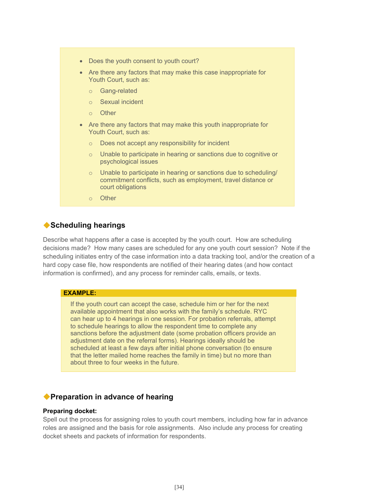- Does the youth consent to youth court?
- Are there any factors that may make this case inappropriate for Youth Court, such as:
	- o Gang-related
	- o Sexual incident
	- o Other
- Are there any factors that may make this youth inappropriate for Youth Court, such as:
	- o Does not accept any responsibility for incident
	- o Unable to participate in hearing or sanctions due to cognitive or psychological issues
	- $\circ$  Unable to participate in hearing or sanctions due to scheduling/ commitment conflicts, such as employment, travel distance or court obligations
	- o Other

## **Scheduling hearings**

Describe what happens after a case is accepted by the youth court. How are scheduling decisions made? How many cases are scheduled for any one youth court session? Note if the scheduling initiates entry of the case information into a data tracking tool, and/or the creation of a hard copy case file, how respondents are notified of their hearing dates (and how contact information is confirmed), and any process for reminder calls, emails, or texts.

#### **EXAMPLE:**

If the youth court can accept the case, schedule him or her for the next available appointment that also works with the family's schedule. RYC can hear up to 4 hearings in one session. For probation referrals, attempt to schedule hearings to allow the respondent time to complete any sanctions before the adjustment date (some probation officers provide an adjustment date on the referral forms). Hearings ideally should be scheduled at least a few days after initial phone conversation (to ensure that the letter mailed home reaches the family in time) but no more than about three to four weeks in the future.

## **Preparation in advance of hearing**

#### **Preparing docket:**

Spell out the process for assigning roles to youth court members, including how far in advance roles are assigned and the basis for role assignments. Also include any process for creating docket sheets and packets of information for respondents.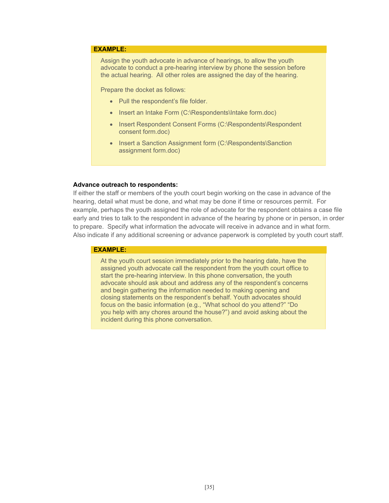#### **EXAMPLE:**

Assign the youth advocate in advance of hearings, to allow the youth advocate to conduct a pre-hearing interview by phone the session before the actual hearing. All other roles are assigned the day of the hearing.

Prepare the docket as follows:

- Pull the respondent's file folder.
- Insert an Intake Form (C:\Respondents\Intake form.doc)
- Insert Respondent Consent Forms (C:\Respondents\Respondent consent form.doc)
- Insert a Sanction Assignment form (C:\Respondents\Sanction assignment form.doc)

#### **Advance outreach to respondents:**

If either the staff or members of the youth court begin working on the case in advance of the hearing, detail what must be done, and what may be done if time or resources permit. For example, perhaps the youth assigned the role of advocate for the respondent obtains a case file early and tries to talk to the respondent in advance of the hearing by phone or in person, in order to prepare. Specify what information the advocate will receive in advance and in what form. Also indicate if any additional screening or advance paperwork is completed by youth court staff.

#### **EXAMPLE:**

At the youth court session immediately prior to the hearing date, have the assigned youth advocate call the respondent from the youth court office to start the pre-hearing interview. In this phone conversation, the youth advocate should ask about and address any of the respondent's concerns and begin gathering the information needed to making opening and closing statements on the respondent's behalf. Youth advocates should focus on the basic information (e.g., "What school do you attend?" "Do you help with any chores around the house?") and avoid asking about the incident during this phone conversation.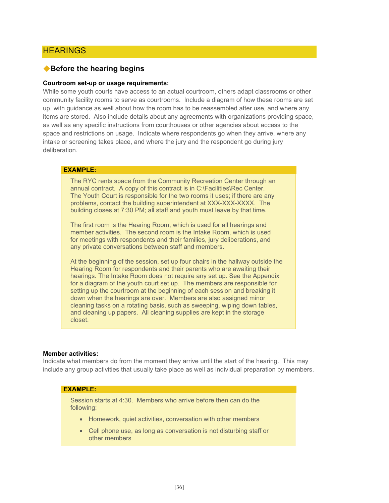# **HEARINGS**

## **Before the hearing begins**

#### **Courtroom set-up or usage requirements:**

While some youth courts have access to an actual courtroom, others adapt classrooms or other community facility rooms to serve as courtrooms. Include a diagram of how these rooms are set up, with guidance as well about how the room has to be reassembled after use, and where any items are stored. Also include details about any agreements with organizations providing space, as well as any specific instructions from courthouses or other agencies about access to the space and restrictions on usage. Indicate where respondents go when they arrive, where any intake or screening takes place, and where the jury and the respondent go during jury deliberation.

#### **EXAMPLE:**

The RYC rents space from the Community Recreation Center through an annual contract. A copy of this contract is in C:\Facilities\Rec Center. The Youth Court is responsible for the two rooms it uses; if there are any problems, contact the building superintendent at XXX-XXX-XXXX. The building closes at 7:30 PM; all staff and youth must leave by that time.

The first room is the Hearing Room, which is used for all hearings and member activities. The second room is the Intake Room, which is used for meetings with respondents and their families, jury deliberations, and any private conversations between staff and members.

At the beginning of the session, set up four chairs in the hallway outside the Hearing Room for respondents and their parents who are awaiting their hearings. The Intake Room does not require any set up. See the Appendix for a diagram of the youth court set up. The members are responsible for setting up the courtroom at the beginning of each session and breaking it down when the hearings are over. Members are also assigned minor cleaning tasks on a rotating basis, such as sweeping, wiping down tables, and cleaning up papers. All cleaning supplies are kept in the storage closet.

#### **Member activities:**

Indicate what members do from the moment they arrive until the start of the hearing. This may include any group activities that usually take place as well as individual preparation by members.

#### **EXAMPLE:**

Session starts at 4:30. Members who arrive before then can do the following:

- Homework, quiet activities, conversation with other members
- Cell phone use, as long as conversation is not disturbing staff or other members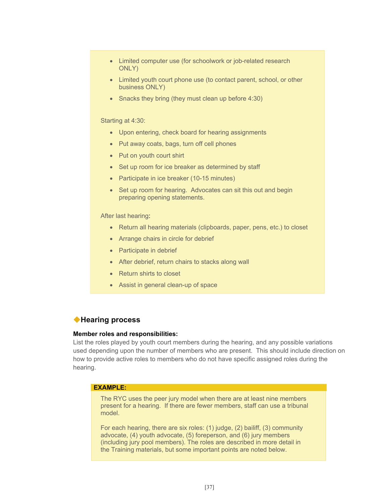- Limited computer use (for schoolwork or job-related research ONLY)
- Limited youth court phone use (to contact parent, school, or other business ONLY)
- Snacks they bring (they must clean up before 4:30)

#### Starting at 4:30:

- Upon entering, check board for hearing assignments
- Put away coats, bags, turn off cell phones
- Put on youth court shirt
- Set up room for ice breaker as determined by staff
- Participate in ice breaker (10-15 minutes)
- Set up room for hearing. Advocates can sit this out and begin preparing opening statements.

#### After last hearing:

- Return all hearing materials (clipboards, paper, pens, etc.) to closet
- Arrange chairs in circle for debrief
- Participate in debrief
- After debrief, return chairs to stacks along wall
- Return shirts to closet
- Assist in general clean-up of space

## **Hearing process**

#### **Member roles and responsibilities:**

List the roles played by youth court members during the hearing, and any possible variations used depending upon the number of members who are present. This should include direction on how to provide active roles to members who do not have specific assigned roles during the hearing.

#### **EXAMPLE:**

The RYC uses the peer jury model when there are at least nine members present for a hearing. If there are fewer members, staff can use a tribunal model.

For each hearing, there are six roles: (1) judge, (2) bailiff, (3) community advocate, (4) youth advocate, (5) foreperson, and (6) jury members (including jury pool members). The roles are described in more detail in the Training materials, but some important points are noted below.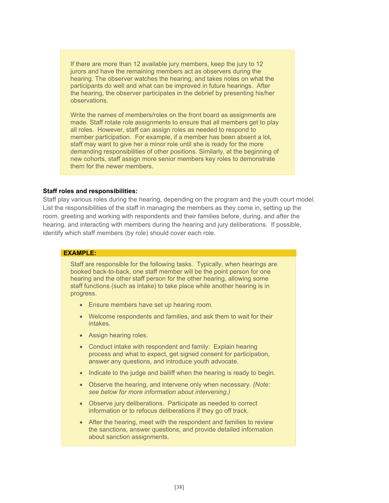If there are more than 12 available jury members, keep the jury to 12 jurors and have the remaining members act as observers during the hearing. The observer watches the hearing, and takes notes on what the participants do well and what can be improved in future hearings. After the hearing, the observer participates in the debrief by presenting his/her observations.

Write the names of members/roles on the front board as assignments are made. Staff rotate role assignments to ensure that all members get to play all roles. However, staff can assign roles as needed to respond to member participation. For example, if a member has been absent a lot, staff may want to give her a minor role until she is ready for the more demanding responsibilities of other positions. Similarly, at the beginning of new cohorts, staff assign more senior members key roles to demonstrate them for the newer members.

#### **Staff roles and responsibilities:**

Staff play various roles during the hearing, depending on the program and the youth court model. List the responsibilities of the staff in managing the members as they come in, setting up the room, greeting and working with respondents and their families before, during, and after the hearing, and interacting with members during the hearing and jury deliberations. If possible, identify which staff members (by role) should cover each role.

## **EXAMPLE:**

Staff are responsible for the following tasks. Typically, when hearings are booked back-to-back, one staff member will be the point person for one hearing and the other staff person for the other hearing, allowing some staff functions (such as intake) to take place while another hearing is in progress.

- Ensure members have set up hearing room.
- Welcome respondents and families, and ask them to wait for their intakes.
- Assign hearing roles.
- Conduct intake with respondent and family: Explain hearing process and what to expect, get signed consent for participation, answer any questions, and introduce youth advocate.
- Indicate to the judge and bailiff when the hearing is ready to begin.
- Observe the hearing, and intervene only when necessary. *(Note: see below for more information about intervening.)*
- Observe jury deliberations. Participate as needed to correct information or to refocus deliberations if they go off track.
- After the hearing, meet with the respondent and families to review the sanctions, answer questions, and provide detailed information about sanction assignments.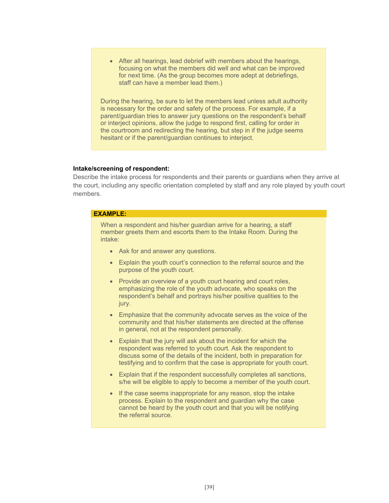After all hearings, lead debrief with members about the hearings, focusing on what the members did well and what can be improved for next time. (As the group becomes more adept at debriefings, staff can have a member lead them.)

During the hearing, be sure to let the members lead unless adult authority is necessary for the order and safety of the process. For example, if a parent/guardian tries to answer jury questions on the respondent's behalf or interject opinions, allow the judge to respond first, calling for order in the courtroom and redirecting the hearing, but step in if the judge seems hesitant or if the parent/guardian continues to interject.

#### **Intake/screening of respondent:**

Describe the intake process for respondents and their parents or guardians when they arrive at the court, including any specific orientation completed by staff and any role played by youth court members.

#### **EXAMPLE:**

When a respondent and his/her guardian arrive for a hearing, a staff member greets them and escorts them to the Intake Room. During the intake:

- Ask for and answer any questions.
- Explain the youth court's connection to the referral source and the purpose of the youth court.
- Provide an overview of a youth court hearing and court roles, emphasizing the role of the youth advocate, who speaks on the respondent's behalf and portrays his/her positive qualities to the jury.
- Emphasize that the community advocate serves as the voice of the community and that his/her statements are directed at the offense in general, not at the respondent personally.
- Explain that the jury will ask about the incident for which the respondent was referred to youth court. Ask the respondent to discuss some of the details of the incident, both in preparation for testifying and to confirm that the case is appropriate for youth court.
- Explain that if the respondent successfully completes all sanctions, s/he will be eligible to apply to become a member of the youth court.
- If the case seems inappropriate for any reason, stop the intake process. Explain to the respondent and guardian why the case cannot be heard by the youth court and that you will be notifying the referral source.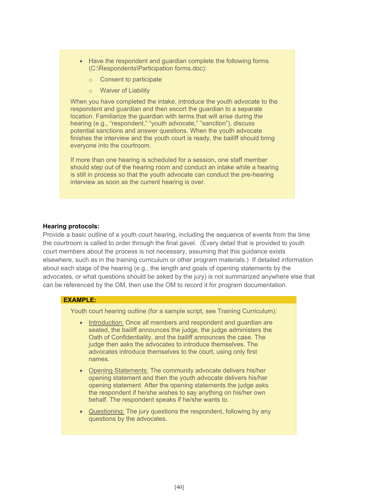- Have the respondent and guardian complete the following forms (C:\Respondents\Participation forms.doc):
	- o Consent to participate
	- o Waiver of Liability

When you have completed the intake, introduce the youth advocate to the respondent and guardian and then escort the guardian to a separate location. Familiarize the guardian with terms that will arise during the hearing (e.g., "respondent," "youth advocate," "sanction"), discuss potential sanctions and answer questions. When the youth advocate finishes the interview and the youth court is ready, the bailiff should bring everyone into the courtroom.

If more than one hearing is scheduled for a session, one staff member should step out of the hearing room and conduct an intake while a hearing is still in process so that the youth advocate can conduct the pre-hearing interview as soon as the current hearing is over.

#### **Hearing protocols:**

Provide a basic outline of a youth court hearing, including the sequence of events from the time the courtroom is called to order through the final gavel. (Every detail that is provided to youth court members about the process is not necessary, assuming that this guidance exists elsewhere, such as in the training curriculum or other program materials.) If detailed information about each stage of the hearing (e.g., the length and goals of opening statements by the advocates, or what questions should be asked by the jury) is not summarized anywhere else that can be referenced by the OM, then use the OM to record it for program documentation.

#### **EXAMPLE:**

Youth court hearing outline (for a sample script, see Training Curriculum):

- Introduction: Once all members and respondent and guardian are seated, the bailiff announces the judge, the judge administers the Oath of Confidentiality, and the bailiff announces the case. The judge then asks the advocates to introduce themselves. The advocates introduce themselves to the court, using only first names.
- Opening Statements: The community advocate delivers his/her opening statement and then the youth advocate delivers his/her opening statement. After the opening statements the judge asks the respondent if he/she wishes to say anything on his/her own behalf. The respondent speaks if he/she wants to.
- Questioning: The jury questions the respondent, following by any questions by the advocates.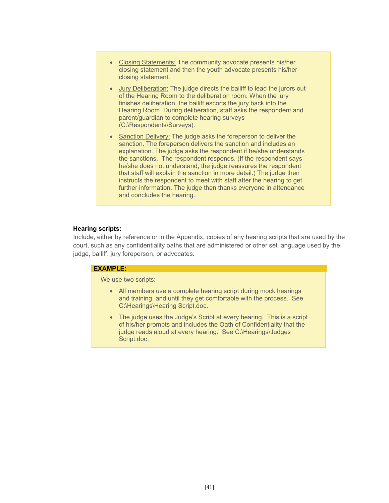- Closing Statements: The community advocate presents his/her closing statement and then the youth advocate presents his/her closing statement.
- Jury Deliberation: The judge directs the bailiff to lead the jurors out of the Hearing Room to the deliberation room. When the jury finishes deliberation, the bailiff escorts the jury back into the Hearing Room. During deliberation, staff asks the respondent and parent/guardian to complete hearing surveys (C:\Respondents\Surveys).
- Sanction Delivery: The judge asks the foreperson to deliver the sanction. The foreperson delivers the sanction and includes an explanation. The judge asks the respondent if he/she understands the sanctions. The respondent responds. (If the respondent says he/she does not understand, the judge reassures the respondent that staff will explain the sanction in more detail.) The judge then instructs the respondent to meet with staff after the hearing to get further information. The judge then thanks everyone in attendance and concludes the hearing.

#### **Hearing scripts:**

Include, either by reference or in the Appendix, copies of any hearing scripts that are used by the court, such as any confidentiality oaths that are administered or other set language used by the judge, bailiff, jury foreperson, or advocates.

#### **EXAMPLE:**

We use two scripts:

- All members use a complete hearing script during mock hearings and training, and until they get comfortable with the process. See C:\Hearings\Hearing Script.doc.
- The judge uses the Judge's Script at every hearing. This is a script of his/her prompts and includes the Oath of Confidentiality that the judge reads aloud at every hearing. See C:\Hearings\Judges Script.doc.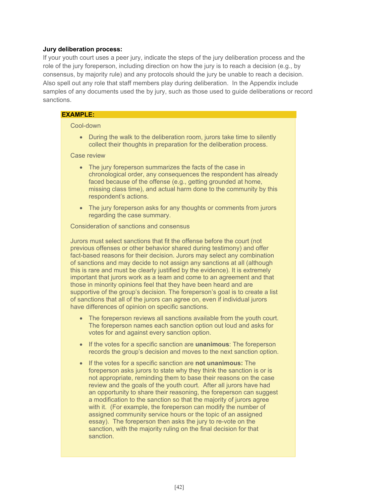#### **Jury deliberation process:**

If your youth court uses a peer jury, indicate the steps of the jury deliberation process and the role of the jury foreperson, including direction on how the jury is to reach a decision (e.g., by consensus, by majority rule) and any protocols should the jury be unable to reach a decision. Also spell out any role that staff members play during deliberation. In the Appendix include samples of any documents used the by jury, such as those used to guide deliberations or record sanctions.

#### **EXAMPLE:**

#### Cool-down

• During the walk to the deliberation room, jurors take time to silently collect their thoughts in preparation for the deliberation process.

Case review

- The jury foreperson summarizes the facts of the case in chronological order, any consequences the respondent has already faced because of the offense (e.g., getting grounded at home, missing class time), and actual harm done to the community by this respondent's actions.
- The jury foreperson asks for any thoughts or comments from jurors regarding the case summary.

Consideration of sanctions and consensus

Jurors must select sanctions that fit the offense before the court (not previous offenses or other behavior shared during testimony) and offer fact-based reasons for their decision. Jurors may select any combination of sanctions and may decide to not assign any sanctions at all (although this is rare and must be clearly justified by the evidence). It is extremely important that jurors work as a team and come to an agreement and that those in minority opinions feel that they have been heard and are supportive of the group's decision. The foreperson's goal is to create a list of sanctions that all of the jurors can agree on, even if individual jurors have differences of opinion on specific sanctions.

- The foreperson reviews all sanctions available from the youth court. The foreperson names each sanction option out loud and asks for votes for and against every sanction option.
- If the votes for a specific sanction are **unanimous**: The foreperson records the group's decision and moves to the next sanction option.
- If the votes for a specific sanction are **not unanimous:** The foreperson asks jurors to state why they think the sanction is or is not appropriate, reminding them to base their reasons on the case review and the goals of the youth court. After all jurors have had an opportunity to share their reasoning, the foreperson can suggest a modification to the sanction so that the majority of jurors agree with it. (For example, the foreperson can modify the number of assigned community service hours or the topic of an assigned essay). The foreperson then asks the jury to re-vote on the sanction, with the majority ruling on the final decision for that sanction.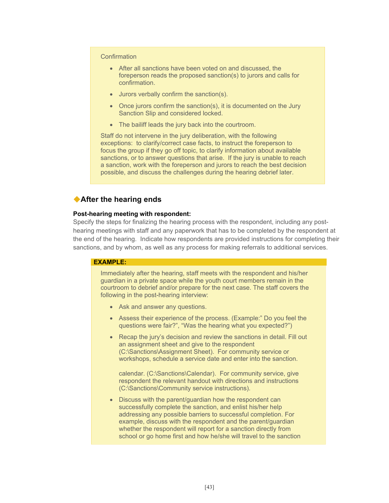#### **Confirmation**

- After all sanctions have been voted on and discussed, the foreperson reads the proposed sanction(s) to jurors and calls for confirmation.
- Jurors verbally confirm the sanction(s).
- Once jurors confirm the sanction(s), it is documented on the Jury Sanction Slip and considered locked.
- The bailiff leads the jury back into the courtroom.

Staff do not intervene in the jury deliberation, with the following exceptions: to clarify/correct case facts, to instruct the foreperson to focus the group if they go off topic, to clarify information about available sanctions, or to answer questions that arise. If the jury is unable to reach a sanction, work with the foreperson and jurors to reach the best decision possible, and discuss the challenges during the hearing debrief later.

# **After the hearing ends**

#### **Post-hearing meeting with respondent:**

Specify the steps for finalizing the hearing process with the respondent, including any posthearing meetings with staff and any paperwork that has to be completed by the respondent at the end of the hearing. Indicate how respondents are provided instructions for completing their sanctions, and by whom, as well as any process for making referrals to additional services.

## **EXAMPLE:**

Immediately after the hearing, staff meets with the respondent and his/her guardian in a private space while the youth court members remain in the courtroom to debrief and/or prepare for the next case. The staff covers the following in the post-hearing interview:

- Ask and answer any questions.
- Assess their experience of the process. (Example:" Do you feel the questions were fair?", "Was the hearing what you expected?")
- Recap the jury's decision and review the sanctions in detail. Fill out an assignment sheet and give to the respondent (C:\Sanctions\Assignment Sheet). For community service or workshops, schedule a service date and enter into the sanction.

calendar. (C:\Sanctions\Calendar). For community service, give respondent the relevant handout with directions and instructions (C:\Sanctions\Community service instructions).

• Discuss with the parent/guardian how the respondent can successfully complete the sanction, and enlist his/her help addressing any possible barriers to successful completion. For example, discuss with the respondent and the parent/guardian whether the respondent will report for a sanction directly from school or go home first and how he/she will travel to the sanction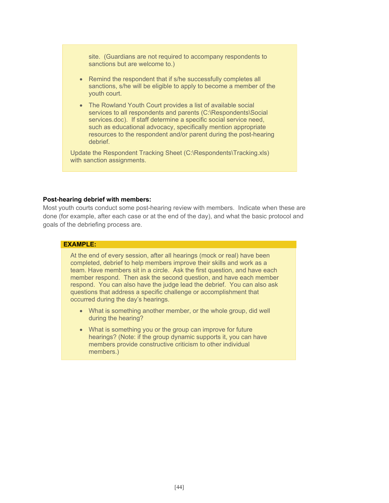site. (Guardians are not required to accompany respondents to sanctions but are welcome to.)

- Remind the respondent that if s/he successfully completes all sanctions, s/he will be eligible to apply to become a member of the youth court.
- The Rowland Youth Court provides a list of available social services to all respondents and parents (C:\Respondents\Social services.doc). If staff determine a specific social service need, such as educational advocacy, specifically mention appropriate resources to the respondent and/or parent during the post-hearing debrief.

Update the Respondent Tracking Sheet (C:\Respondents\Tracking.xls) with sanction assignments.

#### **Post-hearing debrief with members:**

Most youth courts conduct some post-hearing review with members. Indicate when these are done (for example, after each case or at the end of the day), and what the basic protocol and goals of the debriefing process are.

## **EXAMPLE:**

At the end of every session, after all hearings (mock or real) have been completed, debrief to help members improve their skills and work as a team. Have members sit in a circle. Ask the first question, and have each member respond. Then ask the second question, and have each member respond. You can also have the judge lead the debrief. You can also ask questions that address a specific challenge or accomplishment that occurred during the day's hearings.

- What is something another member, or the whole group, did well during the hearing?
- What is something you or the group can improve for future hearings? (Note: if the group dynamic supports it, you can have members provide constructive criticism to other individual members.)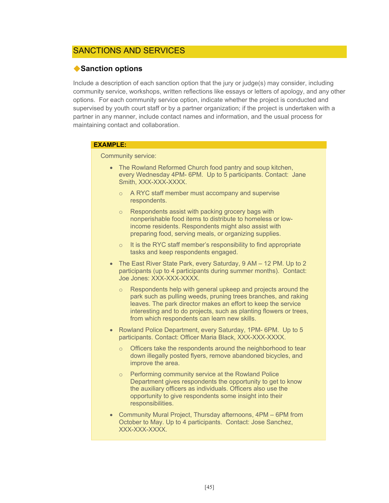# SANCTIONS AND SERVICES

# **Sanction options**

Include a description of each sanction option that the jury or judge(s) may consider, including community service, workshops, written reflections like essays or letters of apology, and any other options. For each community service option, indicate whether the project is conducted and supervised by youth court staff or by a partner organization; if the project is undertaken with a partner in any manner, include contact names and information, and the usual process for maintaining contact and collaboration.

#### **EXAMPLE:**

Community service:

- The Rowland Reformed Church food pantry and soup kitchen, every Wednesday 4PM- 6PM. Up to 5 participants. Contact: Jane Smith, XXX-XXX-XXXX.
	- o A RYC staff member must accompany and supervise respondents.
	- o Respondents assist with packing grocery bags with nonperishable food items to distribute to homeless or lowincome residents. Respondents might also assist with preparing food, serving meals, or organizing supplies.
	- $\circ$  It is the RYC staff member's responsibility to find appropriate tasks and keep respondents engaged.
- The East River State Park, every Saturday, 9 AM 12 PM. Up to 2 participants (up to 4 participants during summer months). Contact: Joe Jones: XXX-XXX-XXXX.
	- Respondents help with general upkeep and projects around the park such as pulling weeds, pruning trees branches, and raking leaves. The park director makes an effort to keep the service interesting and to do projects, such as planting flowers or trees, from which respondents can learn new skills.
- Rowland Police Department, every Saturday, 1PM- 6PM. Up to 5 participants. Contact: Officer Maria Black, XXX-XXX-XXXX.
	- Officers take the respondents around the neighborhood to tear down illegally posted flyers, remove abandoned bicycles, and improve the area.
	- o Performing community service at the Rowland Police Department gives respondents the opportunity to get to know the auxiliary officers as individuals. Officers also use the opportunity to give respondents some insight into their responsibilities.
- Community Mural Project, Thursday afternoons, 4PM 6PM from October to May. Up to 4 participants. Contact: Jose Sanchez, XXX-XXX-XXXX.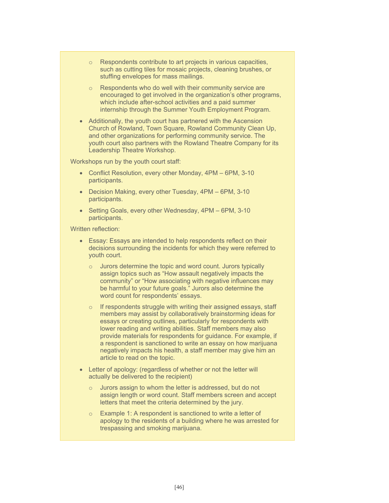- o Respondents contribute to art projects in various capacities, such as cutting tiles for mosaic projects, cleaning brushes, or stuffing envelopes for mass mailings.
- o Respondents who do well with their community service are encouraged to get involved in the organization's other programs, which include after-school activities and a paid summer internship through the Summer Youth Employment Program.
- Additionally, the youth court has partnered with the Ascension Church of Rowland, Town Square, Rowland Community Clean Up, and other organizations for performing community service. The youth court also partners with the Rowland Theatre Company for its Leadership Theatre Workshop.

Workshops run by the youth court staff:

- Conflict Resolution, every other Monday, 4PM 6PM, 3-10 participants.
- Decision Making, every other Tuesday, 4PM 6PM, 3-10 participants.
- Setting Goals, every other Wednesday, 4PM 6PM, 3-10 participants.

Written reflection:

- Essay: Essays are intended to help respondents reflect on their decisions surrounding the incidents for which they were referred to youth court.
	- Jurors determine the topic and word count. Jurors typically assign topics such as "How assault negatively impacts the community" or "How associating with negative influences may be harmful to your future goals." Jurors also determine the word count for respondents' essays.
	- $\circ$  If respondents struggle with writing their assigned essays, staff members may assist by collaboratively brainstorming ideas for essays or creating outlines, particularly for respondents with lower reading and writing abilities. Staff members may also provide materials for respondents for guidance. For example, if a respondent is sanctioned to write an essay on how marijuana negatively impacts his health, a staff member may give him an article to read on the topic.
- Letter of apology: (regardless of whether or not the letter will actually be delivered to the recipient)
	- Jurors assign to whom the letter is addressed, but do not assign length or word count. Staff members screen and accept letters that meet the criteria determined by the jury.
	- o Example 1: A respondent is sanctioned to write a letter of apology to the residents of a building where he was arrested for trespassing and smoking marijuana.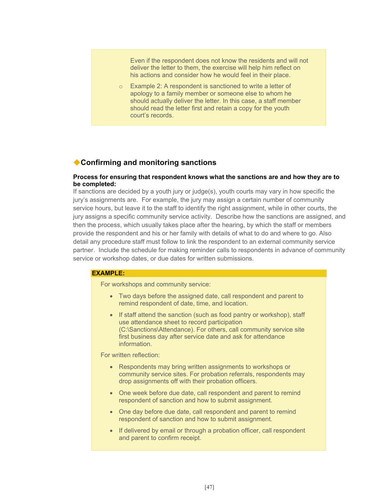Even if the respondent does not know the residents and will not deliver the letter to them, the exercise will help him reflect on his actions and consider how he would feel in their place.

o Example 2: A respondent is sanctioned to write a letter of apology to a family member or someone else to whom he should actually deliver the letter. In this case, a staff member should read the letter first and retain a copy for the youth court's records.

# **Confirming and monitoring sanctions**

#### **Process for ensuring that respondent knows what the sanctions are and how they are to be completed:**

If sanctions are decided by a youth jury or judge(s), youth courts may vary in how specific the jury's assignments are. For example, the jury may assign a certain number of community service hours, but leave it to the staff to identify the right assignment, while in other courts, the jury assigns a specific community service activity. Describe how the sanctions are assigned, and then the process, which usually takes place after the hearing, by which the staff or members provide the respondent and his or her family with details of what to do and where to go. Also detail any procedure staff must follow to link the respondent to an external community service partner. Include the schedule for making reminder calls to respondents in advance of community service or workshop dates, or due dates for written submissions.

#### **EXAMPLE:**

For workshops and community service:

- Two days before the assigned date, call respondent and parent to remind respondent of date, time, and location.
- If staff attend the sanction (such as food pantry or workshop), staff use attendance sheet to record participation (C:\Sanctions\Attendance). For others, call community service site first business day after service date and ask for attendance information.

## For written reflection:

- Respondents may bring written assignments to workshops or community service sites. For probation referrals, respondents may drop assignments off with their probation officers.
- One week before due date, call respondent and parent to remind respondent of sanction and how to submit assignment.
- One day before due date, call respondent and parent to remind respondent of sanction and how to submit assignment.
- If delivered by email or through a probation officer, call respondent and parent to confirm receipt.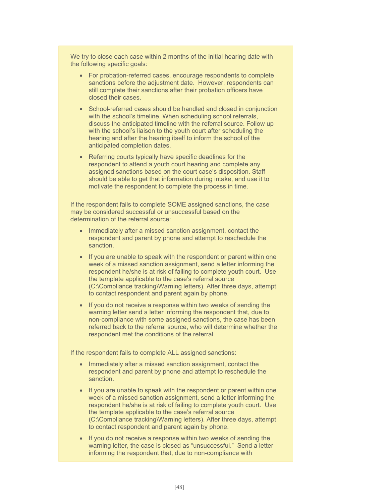We try to close each case within 2 months of the initial hearing date with the following specific goals:

- For probation-referred cases, encourage respondents to complete sanctions before the adjustment date. However, respondents can still complete their sanctions after their probation officers have closed their cases.
- School-referred cases should be handled and closed in conjunction with the school's timeline. When scheduling school referrals, discuss the anticipated timeline with the referral source. Follow up with the school's liaison to the youth court after scheduling the hearing and after the hearing itself to inform the school of the anticipated completion dates.
- Referring courts typically have specific deadlines for the respondent to attend a youth court hearing and complete any assigned sanctions based on the court case's disposition. Staff should be able to get that information during intake, and use it to motivate the respondent to complete the process in time.

If the respondent fails to complete SOME assigned sanctions, the case may be considered successful or unsuccessful based on the determination of the referral source:

- Immediately after a missed sanction assignment, contact the respondent and parent by phone and attempt to reschedule the sanction.
- If you are unable to speak with the respondent or parent within one week of a missed sanction assignment, send a letter informing the respondent he/she is at risk of failing to complete youth court. Use the template applicable to the case's referral source (C:\Compliance tracking\Warning letters). After three days, attempt to contact respondent and parent again by phone.
- If you do not receive a response within two weeks of sending the warning letter send a letter informing the respondent that, due to non-compliance with some assigned sanctions, the case has been referred back to the referral source, who will determine whether the respondent met the conditions of the referral.

If the respondent fails to complete ALL assigned sanctions:

- Immediately after a missed sanction assignment, contact the respondent and parent by phone and attempt to reschedule the sanction.
- If you are unable to speak with the respondent or parent within one week of a missed sanction assignment, send a letter informing the respondent he/she is at risk of failing to complete youth court. Use the template applicable to the case's referral source (C:\Compliance tracking\Warning letters). After three days, attempt to contact respondent and parent again by phone.
- If you do not receive a response within two weeks of sending the warning letter, the case is closed as "unsuccessful." Send a letter informing the respondent that, due to non-compliance with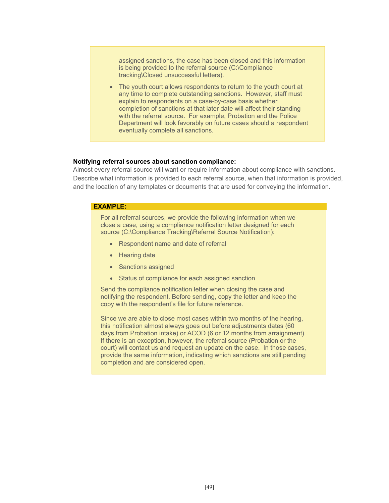assigned sanctions, the case has been closed and this information is being provided to the referral source (C:\Compliance tracking\Closed unsuccessful letters).

 The youth court allows respondents to return to the youth court at any time to complete outstanding sanctions. However, staff must explain to respondents on a case-by-case basis whether completion of sanctions at that later date will affect their standing with the referral source. For example, Probation and the Police Department will look favorably on future cases should a respondent eventually complete all sanctions.

#### **Notifying referral sources about sanction compliance:**

Almost every referral source will want or require information about compliance with sanctions. Describe what information is provided to each referral source, when that information is provided, and the location of any templates or documents that are used for conveying the information.

#### **EXAMPLE:**

For all referral sources, we provide the following information when we close a case, using a compliance notification letter designed for each source (C:\Compliance Tracking\Referral Source Notification):

- Respondent name and date of referral
- Hearing date
- Sanctions assigned
- Status of compliance for each assigned sanction

Send the compliance notification letter when closing the case and notifying the respondent. Before sending, copy the letter and keep the copy with the respondent's file for future reference.

Since we are able to close most cases within two months of the hearing, this notification almost always goes out before adjustments dates (60 days from Probation intake) or ACOD (6 or 12 months from arraignment). If there is an exception, however, the referral source (Probation or the court) will contact us and request an update on the case. In those cases, provide the same information, indicating which sanctions are still pending completion and are considered open.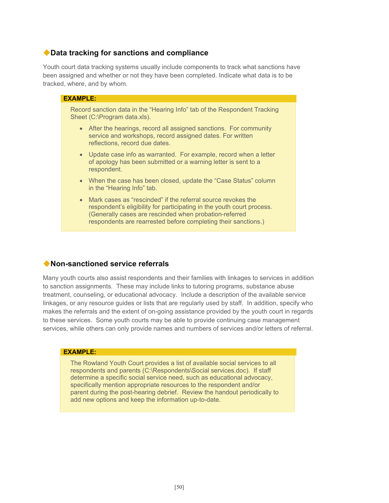# **Data tracking for sanctions and compliance**

Youth court data tracking systems usually include components to track what sanctions have been assigned and whether or not they have been completed. Indicate what data is to be tracked, where, and by whom.

| <b>EXAMPLE:</b>                                                                                                                                                                                                                                                                 |
|---------------------------------------------------------------------------------------------------------------------------------------------------------------------------------------------------------------------------------------------------------------------------------|
| Record sanction data in the "Hearing Info" tab of the Respondent Tracking<br>Sheet (C:\Program data.xls).                                                                                                                                                                       |
| • After the hearings, record all assigned sanctions. For community<br>service and workshops, record assigned dates. For written<br>reflections, record due dates.                                                                                                               |
| • Update case info as warranted. For example, record when a letter<br>of apology has been submitted or a warning letter is sent to a<br>respondent.                                                                                                                             |
| • When the case has been closed, update the "Case Status" column<br>in the "Hearing Info" tab.                                                                                                                                                                                  |
| Mark cases as "rescinded" if the referral source revokes the<br>$\bullet$<br>respondent's eligibility for participating in the youth court process.<br>(Generally cases are rescinded when probation-referred<br>respondents are rearrested before completing their sanctions.) |

# **Non-sanctioned service referrals**

Many youth courts also assist respondents and their families with linkages to services in addition to sanction assignments. These may include links to tutoring programs, substance abuse treatment, counseling, or educational advocacy. Include a description of the available service linkages, or any resource guides or lists that are regularly used by staff. In addition, specify who makes the referrals and the extent of on-going assistance provided by the youth court in regards to these services. Some youth courts may be able to provide continuing case management services, while others can only provide names and numbers of services and/or letters of referral.

#### **EXAMPLE:**

The Rowland Youth Court provides a list of available social services to all respondents and parents (C:\Respondents\Social services.doc). If staff determine a specific social service need, such as educational advocacy, specifically mention appropriate resources to the respondent and/or parent during the post-hearing debrief. Review the handout periodically to add new options and keep the information up-to-date.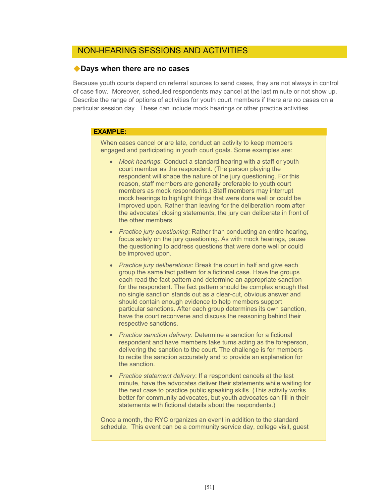# NON-HEARING SESSIONS AND ACTIVITIES

## **Days when there are no cases**

Because youth courts depend on referral sources to send cases, they are not always in control of case flow. Moreover, scheduled respondents may cancel at the last minute or not show up. Describe the range of options of activities for youth court members if there are no cases on a particular session day. These can include mock hearings or other practice activities.

## **EXAMPLE:**

When cases cancel or are late, conduct an activity to keep members engaged and participating in youth court goals. Some examples are:

- *Mock hearings*: Conduct a standard hearing with a staff or youth court member as the respondent. (The person playing the respondent will shape the nature of the jury questioning. For this reason, staff members are generally preferable to youth court members as mock respondents.) Staff members may interrupt mock hearings to highlight things that were done well or could be improved upon. Rather than leaving for the deliberation room after the advocates' closing statements, the jury can deliberate in front of the other members.
- *Practice jury questioning*: Rather than conducting an entire hearing, focus solely on the jury questioning. As with mock hearings, pause the questioning to address questions that were done well or could be improved upon.
- *Practice jury deliberations*: Break the court in half and give each group the same fact pattern for a fictional case. Have the groups each read the fact pattern and determine an appropriate sanction for the respondent. The fact pattern should be complex enough that no single sanction stands out as a clear-cut, obvious answer and should contain enough evidence to help members support particular sanctions. After each group determines its own sanction, have the court reconvene and discuss the reasoning behind their respective sanctions.
- *Practice sanction delivery*: Determine a sanction for a fictional respondent and have members take turns acting as the foreperson, delivering the sanction to the court. The challenge is for members to recite the sanction accurately and to provide an explanation for the sanction.
- *Practice statement delivery*: If a respondent cancels at the last minute, have the advocates deliver their statements while waiting for the next case to practice public speaking skills. (This activity works better for community advocates, but youth advocates can fill in their statements with fictional details about the respondents.)

Once a month, the RYC organizes an event in addition to the standard schedule. This event can be a community service day, college visit, guest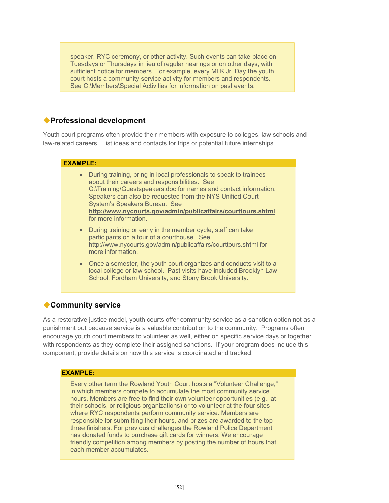speaker, RYC ceremony, or other activity. Such events can take place on Tuesdays or Thursdays in lieu of regular hearings or on other days, with sufficient notice for members. For example, every MLK Jr. Day the youth court hosts a community service activity for members and respondents. See C:\Members\Special Activities for information on past events.

# **Professional development**

Youth court programs often provide their members with exposure to colleges, law schools and law-related careers. List ideas and contacts for trips or potential future internships.

#### **EXAMPLE:**

- During training, bring in local professionals to speak to trainees about their careers and responsibilities. See C:\Training\Guestspeakers.doc for names and contact information. Speakers can also be requested from the NYS Unified Court System's Speakers Bureau. See **http://www.nycourts.gov/admin/publicaffairs/courttours.shtml** for more information.
- During training or early in the member cycle, staff can take participants on a tour of a courthouse. See http://www.nycourts.gov/admin/publicaffairs/courttours.shtml for more information.
- Once a semester, the youth court organizes and conducts visit to a local college or law school. Past visits have included Brooklyn Law School, Fordham University, and Stony Brook University.

# **Community service**

As a restorative justice model, youth courts offer community service as a sanction option not as a punishment but because service is a valuable contribution to the community. Programs often encourage youth court members to volunteer as well, either on specific service days or together with respondents as they complete their assigned sanctions. If your program does include this component, provide details on how this service is coordinated and tracked.

## **EXAMPLE:**

Every other term the Rowland Youth Court hosts a "Volunteer Challenge," in which members compete to accumulate the most community service hours. Members are free to find their own volunteer opportunities (e.g., at their schools, or religious organizations) or to volunteer at the four sites where RYC respondents perform community service. Members are responsible for submitting their hours, and prizes are awarded to the top three finishers. For previous challenges the Rowland Police Department has donated funds to purchase gift cards for winners. We encourage friendly competition among members by posting the number of hours that each member accumulates.